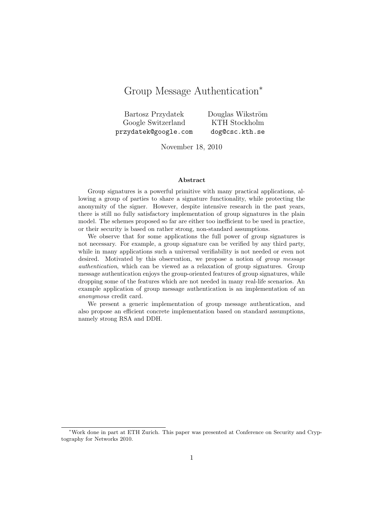# Group Message Authentication<sup>∗</sup>

Bartosz Przydatek Douglas Wikström Google Switzerland KTH Stockholm przydatek@google.com dog@csc.kth.se

November 18, 2010

#### Abstract

Group signatures is a powerful primitive with many practical applications, allowing a group of parties to share a signature functionality, while protecting the anonymity of the signer. However, despite intensive research in the past years, there is still no fully satisfactory implementation of group signatures in the plain model. The schemes proposed so far are either too inefficient to be used in practice, or their security is based on rather strong, non-standard assumptions.

We observe that for some applications the full power of group signatures is not necessary. For example, a group signature can be verified by any third party, while in many applications such a universal verifiability is not needed or even not desired. Motivated by this observation, we propose a notion of *group message* authentication, which can be viewed as a relaxation of group signatures. Group message authentication enjoys the group-oriented features of group signatures, while dropping some of the features which are not needed in many real-life scenarios. An example application of group message authentication is an implementation of an anonymous credit card.

We present a generic implementation of group message authentication, and also propose an efficient concrete implementation based on standard assumptions, namely strong RSA and DDH.

<sup>∗</sup>Work done in part at ETH Zurich. This paper was presented at Conference on Security and Cryptography for Networks 2010.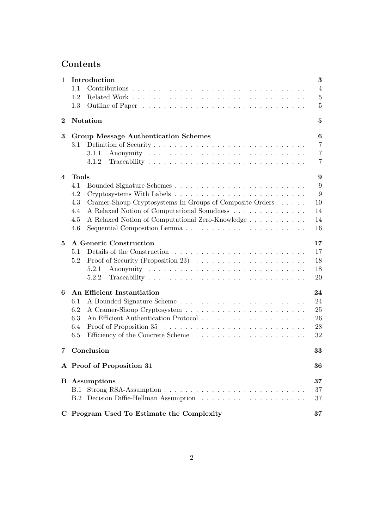# Contents

| 1        | Introduction                                                                                 | 3              |
|----------|----------------------------------------------------------------------------------------------|----------------|
|          | 1.1                                                                                          | $\overline{4}$ |
|          | 1.2                                                                                          | $\overline{5}$ |
|          | 1.3                                                                                          | $\overline{5}$ |
| $\bf{2}$ | <b>Notation</b>                                                                              | 5              |
| 3        | <b>Group Message Authentication Schemes</b>                                                  | 6              |
|          | 3.1                                                                                          | $\overline{7}$ |
|          | 3.1.1                                                                                        | 7              |
|          | 3.1.2                                                                                        | 7              |
| 4        | <b>Tools</b>                                                                                 | 9              |
|          | 4.1                                                                                          | 9              |
|          | 4.2                                                                                          | 9              |
|          | 4.3<br>Cramer-Shoup Cryptosystems In Groups of Composite Orders                              | 10             |
|          | A Relaxed Notion of Computational Soundness<br>4.4                                           | 14             |
|          | A Relaxed Notion of Computational Zero-Knowledge<br>4.5                                      | 14             |
|          | 4.6                                                                                          | 16             |
| 5        | A Generic Construction                                                                       | 17             |
|          | 5.1                                                                                          | 17             |
|          | Proof of Security (Proposition 23) $\ldots \ldots \ldots \ldots \ldots \ldots \ldots$<br>5.2 | 18             |
|          | 5.2.1                                                                                        | 18             |
|          | 5.2.2                                                                                        | 20             |
| 6        | An Efficient Instantiation                                                                   | 24             |
|          | 6.1                                                                                          | 24             |
|          | 6.2                                                                                          | 25             |
|          | 6.3                                                                                          | 26             |
|          | 6.4                                                                                          | 28             |
|          | 6.5                                                                                          | 32             |
| 7        | Conclusion                                                                                   | 33             |
|          | A Proof of Proposition 31                                                                    | 36             |
|          | <b>B</b> Assumptions                                                                         | 37             |
|          | B.1                                                                                          | 37             |
|          | B.2                                                                                          | 37             |
|          | C Program Used To Estimate the Complexity                                                    | 37             |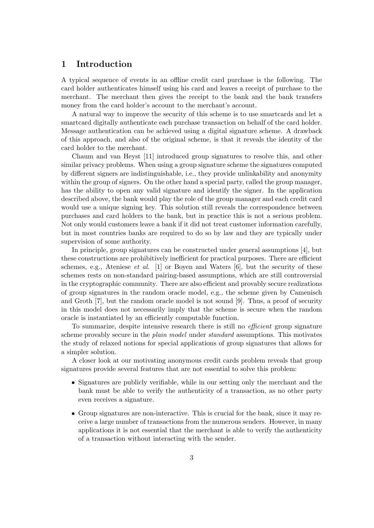## 1 Introduction

A typical sequence of events in an offline credit card purchase is the following. The card holder authenticates himself using his card and leaves a receipt of purchase to the merchant. The merchant then gives the receipt to the bank and the bank transfers money from the card holder's account to the merchant's account.

A natural way to improve the security of this scheme is to use smartcards and let a smartcard digitally authenticate each purchase transaction on behalf of the card holder. Message authentication can be achieved using a digital signature scheme. A drawback of this approach, and also of the original scheme, is that it reveals the identity of the card holder to the merchant.

Chaum and van Heyst [11] introduced group signatures to resolve this, and other similar privacy problems. When using a group signature scheme the signatures computed by different signers are indistinguishable, i.e., they provide unlinkability and anonymity within the group of signers. On the other hand a special party, called the group manager, has the ability to open any valid signature and identify the signer. In the application described above, the bank would play the role of the group manager and each credit card would use a unique signing key. This solution still reveals the correspondence between purchases and card holders to the bank, but in practice this is not a serious problem. Not only would customers leave a bank if it did not treat customer information carefully, but in most countries banks are required to do so by law and they are typically under supervision of some authority.

In principle, group signatures can be constructed under general assumptions [4], but these constructions are prohibitively inefficient for practical purposes. There are efficient schemes, e.g., Ateniese *et al.* [1] or Boyen and Waters  $[6]$ , but the security of these schemes rests on non-standard pairing-based assumptions, which are still controversial in the cryptographic community. There are also efficient and provably secure realizations of group signatures in the random oracle model, e.g., the scheme given by Camenisch and Groth [7], but the random oracle model is not sound [9]. Thus, a proof of security in this model does not necessarily imply that the scheme is secure when the random oracle is instantiated by an efficiently computable function.

To summarize, despite intensive research there is still no efficient group signature scheme provably secure in the *plain model* under *standard* assumptions. This motivates the study of relaxed notions for special applications of group signatures that allows for a simpler solution.

A closer look at our motivating anonymous credit cards problem reveals that group signatures provide several features that are not essential to solve this problem:

- Signatures are publicly verifiable, while in our setting only the merchant and the bank must be able to verify the authenticity of a transaction, as no other party even receives a signature.
- Group signatures are non-interactive. This is crucial for the bank, since it may receive a large number of transactions from the numerous senders. However, in many applications it is not essential that the merchant is able to verify the authenticity of a transaction without interacting with the sender.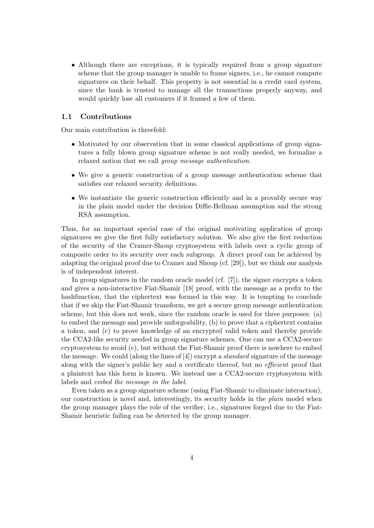• Although there are exceptions, it is typically required from a group signature scheme that the group manager is unable to frame signers, i.e., he cannot compute signatures on their behalf. This property is not essential in a credit card system, since the bank is trusted to manage all the transactions properly anyway, and would quickly lose all customers if it framed a few of them.

## 1.1 Contributions

Our main contribution is threefold:

- Motivated by our observation that in some classical applications of group signatures a fully blown group signature scheme is not really needed, we formalize a relaxed notion that we call group message authentication.
- We give a generic construction of a group message authentication scheme that satisfies our relaxed security definitions.
- We instantiate the generic construction efficiently and in a provably secure way in the plain model under the decision Diffie-Hellman assumption and the strong RSA assumption.

Thus, for an important special case of the original motivating application of group signatures we give the first fully satisfactory solution. We also give the first reduction of the security of the Cramer-Shoup cryptosystem with labels over a cyclic group of composite order to its security over each subgroup. A direct proof can be achieved by adapting the original proof due to Cramer and Shoup (cf. [29]), but we think our analysis is of independent interest.

In group signatures in the random oracle model (cf. [7]), the signer encrypts a token and gives a non-interactive Fiat-Shamir [18] proof, with the message as a prefix to the hashfunction, that the ciphertext was formed in this way. It is tempting to conclude that if we skip the Fiat-Shamir transform, we get a secure group message authentication scheme, but this does not work, since the random oracle is used for three purposes: (a) to embed the message and provide unforgeability, (b) to prove that a ciphertext contains a token, and (c) to prove knowledge of an encrypted valid token and thereby provide the CCA2-like security needed in group signature schemes. One can use a CCA2-secure cryptosystem to avoid (c), but without the Fiat-Shamir proof there is nowhere to embed the message. We could (along the lines of  $[4]$ ) encrypt a *standard* signature of the message along with the signer's public key and a certificate thereof, but no efficient proof that a plaintext has this form is known. We instead use a CCA2-secure cryptosystem with labels and embed the message in the label.

Even taken as a group signature scheme (using Fiat-Shamir to eliminate interaction), our construction is novel and, interestingly, its security holds in the *plain* model when the group manager plays the role of the verifier, i.e., signatures forged due to the Fiat-Shamir heuristic failing can be detected by the group manager.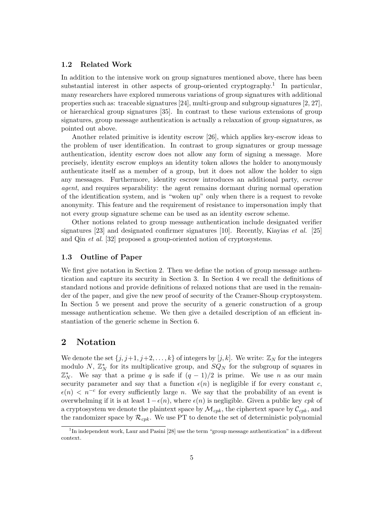## 1.2 Related Work

In addition to the intensive work on group signatures mentioned above, there has been substantial interest in other aspects of group-oriented cryptography.<sup>1</sup> In particular, many researchers have explored numerous variations of group signatures with additional properties such as: traceable signatures [24], multi-group and subgroup signatures [2, 27], or hierarchical group signatures [35]. In contrast to these various extensions of group signatures, group message authentication is actually a relaxation of group signatures, as pointed out above.

Another related primitive is identity escrow [26], which applies key-escrow ideas to the problem of user identification. In contrast to group signatures or group message authentication, identity escrow does not allow any form of signing a message. More precisely, identity escrow employs an identity token allows the holder to anonymously authenticate itself as a member of a group, but it does not allow the holder to sign any messages. Furthermore, identity escrow introduces an additional party, escrow agent, and requires separability: the agent remains dormant during normal operation of the identification system, and is "woken up" only when there is a request to revoke anonymity. This feature and the requirement of resistance to impersonation imply that not every group signature scheme can be used as an identity escrow scheme.

Other notions related to group message authentication include designated verifier signatures  $[23]$  and designated confirmer signatures  $[10]$ . Recently, Kiayias *et al.*  $[25]$ and Qin et al. [32] proposed a group-oriented notion of cryptosystems.

## 1.3 Outline of Paper

We first give notation in Section 2. Then we define the notion of group message authentication and capture its security in Section 3. In Section 4 we recall the definitions of standard notions and provide definitions of relaxed notions that are used in the remainder of the paper, and give the new proof of security of the Cramer-Shoup cryptosystem. In Section 5 we present and prove the security of a generic construction of a group message authentication scheme. We then give a detailed description of an efficient instantiation of the generic scheme in Section 6.

# 2 Notation

We denote the set  $\{j, j+1, j+2, \ldots, k\}$  of integers by  $[j, k]$ . We write:  $\mathbb{Z}_N$  for the integers modulo N,  $\mathbb{Z}_N^*$  for its multiplicative group, and  $SQ_N$  for the subgroup of squares in  $\mathbb{Z}_N^*$ . We say that a prime q is safe if  $(q-1)/2$  is prime. We use n as our main security parameter and say that a function  $\epsilon(n)$  is negligible if for every constant c,  $\epsilon(n) < n^{-c}$  for every sufficiently large n. We say that the probability of an event is overwhelming if it is at least  $1-\epsilon(n)$ , where  $\epsilon(n)$  is negligible. Given a public key cpk of a cryptosystem we denote the plaintext space by  $\mathcal{M}_{cpk}$ , the ciphertext space by  $\mathcal{C}_{cpk}$ , and the randomizer space by  $\mathcal{R}_{cpk}$ . We use PT to denote the set of deterministic polynomial

<sup>&</sup>lt;sup>1</sup>In independent work, Laur and Pasini [28] use the term "group message authentication" in a different context.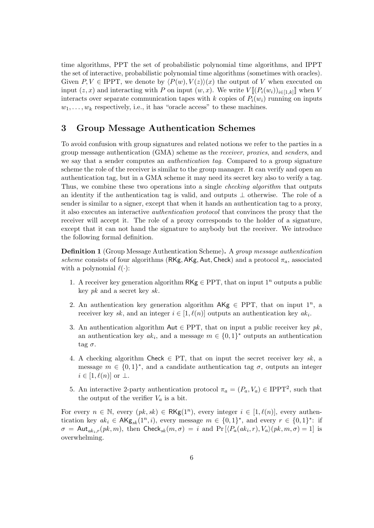time algorithms, PPT the set of probabilistic polynomial time algorithms, and IPPT the set of interactive, probabilistic polynomial time algorithms (sometimes with oracles). Given  $P, V \in \text{IPT}$ , we denote by  $\langle P(w), V(z) \rangle(x)$  the output of V when executed on input  $(z, x)$  and interacting with P on input  $(w, x)$ . We write  $V[[ (P_i(w_i))_{i \in [1, k]}]]$  when V interacts over separate communication tapes with k copies of  $P_i(w_i)$  running on inputs  $w_1, \ldots, w_k$  respectively, i.e., it has "oracle access" to these machines.

# 3 Group Message Authentication Schemes

To avoid confusion with group signatures and related notions we refer to the parties in a group message authentication (GMA) scheme as the receiver, proxies, and senders, and we say that a sender computes an *authentication tag*. Compared to a group signature scheme the role of the receiver is similar to the group manager. It can verify and open an authentication tag, but in a GMA scheme it may need its secret key also to verify a tag. Thus, we combine these two operations into a single *checking algorithm* that outputs an identity if the authentication tag is valid, and outputs ⊥ otherwise. The role of a sender is similar to a signer, except that when it hands an authentication tag to a proxy, it also executes an interactive authentication protocol that convinces the proxy that the receiver will accept it. The role of a proxy corresponds to the holder of a signature, except that it can not hand the signature to anybody but the receiver. We introduce the following formal definition.

Definition 1 (Group Message Authentication Scheme). A group message authentication scheme consists of four algorithms (RKg, AKg, Aut, Check) and a protocol  $\pi_a$ , associated with a polynomial  $\ell(\cdot)$ :

- 1. A receiver key generation algorithm  $\mathsf{RKg} \in \mathrm{PPT}$ , that on input  $1^n$  outputs a public key pk and a secret key sk.
- 2. An authentication key generation algorithm  $AKg \in PPT$ , that on input  $1^n$ , a receiver key sk, and an integer  $i \in [1, \ell(n)]$  outputs an authentication key  $ak_i$ .
- 3. An authentication algorithm Aut  $\in$  PPT, that on input a public receiver key pk, an authentication key  $ak_i$ , and a message  $m \in \{0,1\}^*$  outputs an authentication tag  $\sigma$ .
- 4. A checking algorithm Check  $\in$  PT, that on input the secret receiver key sk, a message  $m \in \{0,1\}^*$ , and a candidate authentication tag  $\sigma$ , outputs an integer  $i \in [1, \ell(n)]$  or  $\perp$ .
- 5. An interactive 2-party authentication protocol  $\pi_a = (P_a, V_a) \in \text{IPPT}^2$ , such that the output of the verifier  $V_a$  is a bit.

For every  $n \in \mathbb{N}$ , every  $(pk, sk) \in \mathsf{RKg}(1^n)$ , every integer  $i \in [1, \ell(n)]$ , every authentication key  $ak_i \in AKg_{sk}(1^n, i)$ , every message  $m \in \{0, 1\}^*$ , and every  $r \in \{0, 1\}^*$ : if  $\sigma = \mathsf{Aut}_{ak_i,r}(pk,m)$ , then  $\mathsf{Check}_{sk}(m,\sigma) = i$  and  $\Pr[\langle P_a(ak_i,r),V_a\rangle(pk,m,\sigma) = 1]$  is overwhelming.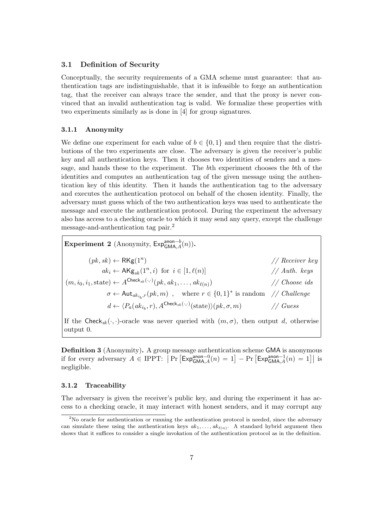## 3.1 Definition of Security

Conceptually, the security requirements of a GMA scheme must guarantee: that authentication tags are indistinguishable, that it is infeasible to forge an authentication tag, that the receiver can always trace the sender, and that the proxy is never convinced that an invalid authentication tag is valid. We formalize these properties with two experiments similarly as is done in [4] for group signatures.

#### 3.1.1 Anonymity

We define one experiment for each value of  $b \in \{0, 1\}$  and then require that the distributions of the two experiments are close. The adversary is given the receiver's public key and all authentication keys. Then it chooses two identities of senders and a message, and hands these to the experiment. The bth experiment chooses the bth of the identities and computes an authentication tag of the given message using the authentication key of this identity. Then it hands the authentication tag to the adversary and executes the authentication protocol on behalf of the chosen identity. Finally, the adversary must guess which of the two authentication keys was used to authenticate the message and execute the authentication protocol. During the experiment the adversary also has access to a checking oracle to which it may send any query, except the challenge message-and-authentication tag pair.<sup>2</sup>

Experiment 2 (Anonymity,  $\mathsf{Exp}^{\text{anon}-b}_{\mathsf{GMA},A}(n)$ ).  $(pk, sk) \leftarrow \mathsf{RKg}(1^n)$  $//$  Receiver key  $ak_i \leftarrow \mathsf{AKg}_{sk}(1^n, i)$  for  $i \in [1, \ell(n)]$  // Auth. keys  $(m, i_0, i_1, \text{state}) \leftarrow A^{\text{Check}_{sk}(\cdot, \cdot)}(pk, ak_1, \dots, ak_{\ell(n)})$ ) // Choose ids  $\sigma \leftarrow \text{Aut}_{ak_{i_b},r}(pk, m)$ , where  $r \in \{0, 1\}^*$  is random // Challenge  $d \leftarrow \langle P_a(ak_{i_b}, r), A^{\text{Check}_{sk}(\cdot, \cdot)}(\text{state}) \rangle (pk, \sigma, m)$  // Guess

If the Check<sub>sk</sub> $(\cdot, \cdot)$ -oracle was never queried with  $(m, \sigma)$ , then output d, otherwise output 0.

**Definition 3** (Anonymity). A group message authentication scheme GMA is anonymous if for every adversary  $A \in \text{IPPT: } | \Pr \left[ \text{Exp}_{\text{GMA},A}^{\text{anon}-0}(n) = 1 \right] - \Pr \left[ \text{Exp}_{\text{GMA},A}^{\text{anon}-1}(n) = 1 \right] |$  is negligible.

#### 3.1.2 Traceability

The adversary is given the receiver's public key, and during the experiment it has access to a checking oracle, it may interact with honest senders, and it may corrupt any

<sup>&</sup>lt;sup>2</sup>No oracle for authentication or running the authentication protocol is needed, since the adversary can simulate these using the authentication keys  $ak_1, \ldots, ak_{\ell(n)}$ . A standard hybrid argument then shows that it suffices to consider a single invokation of the authentication protocol as in the definition.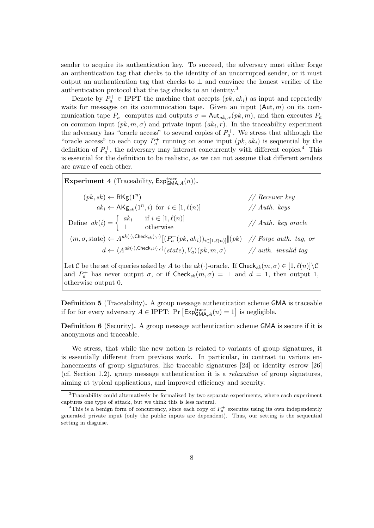sender to acquire its authentication key. To succeed, the adversary must either forge an authentication tag that checks to the identity of an uncorrupted sender, or it must output an authentication tag that checks to ⊥ and convince the honest verifier of the authentication protocol that the tag checks to an identity.<sup>3</sup>

Denote by  $P_a^+ \in \text{IPPT}$  the machine that accepts  $(pk, ak_i)$  as input and repeatedly waits for messages on its communication tape. Given an input  $(Aut, m)$  on its communication tape  $P_a^+$  computes and outputs  $\sigma = \text{Aut}_{ak_i,r}(pk,m)$ , and then executes  $P_a$ on common input  $(pk, m, \sigma)$  and private input  $(ak_i, r)$ . In the traceability experiment the adversary has "oracle access" to several copies of  $P_a^+$ . We stress that although the "oracle access" to each copy  $P_a^+$  running on some input  $(pk, ak_i)$  is sequential by the definition of  $P_a^+$ , the adversary may interact concurrently with different copies.<sup>4</sup> This is essential for the definition to be realistic, as we can not assume that different senders are aware of each other.

Experiment 4 (Traceability,  $Exp_{GMA,A}^{trace}(n)$ ).  $(pk, sk) \leftarrow \mathsf{RKg}(1^n)$  $\frac{1}{2}$  Receiver key  $ak_i \leftarrow \mathsf{AKg}_{sk}(1^n, i)$  for  $i \in [1, \ell(n)]$  // Auth. keys Define  $ak(i) = \begin{cases} ak_i & \text{if } i \in [1, \ell(n)] \\ \perp & \text{otherwise} \end{cases}$  // Auth. key oracle  $(m, \sigma, \text{state}) \leftarrow A^{ak(\cdot), \text{Check}_{sk}(\cdot, \cdot)}[(P_a^+(pk, ak_i))_{i \in [1,\ell(n)]}](pk)$  // Forge auth. tag, or  $d \leftarrow \langle A^{ak(\cdot),\mathsf{Check}_{sk}(\cdot,\cdot)}(state), V_a \rangle (pk, m, \sigma)$  // auth. invalid tag

Let C be the set of queries asked by A to the  $ak(\cdot)$ -oracle. If Check $_{sk}(m, \sigma) \in [1, \ell(n)]\setminus \mathcal{C}$ and  $P_a^+$  has never output  $\sigma$ , or if Check<sub>sk</sub> $(m, \sigma) = \bot$  and  $d = 1$ , then output 1, otherwise output 0.

Definition 5 (Traceability). A group message authentication scheme GMA is traceable if for for every adversary  $A \in \text{IPPT: Pr } \left[ \text{Exp}^{\text{trace}}_{\text{GMA},A}(n) = 1 \right]$  is negligible.

Definition 6 (Security). A group message authentication scheme GMA is secure if it is anonymous and traceable.

We stress, that while the new notion is related to variants of group signatures, it is essentially different from previous work. In particular, in contrast to various enhancements of group signatures, like traceable signatures [24] or identity escrow [26] (cf. Section 1.2), group message authentication it is a *relaxation* of group signatures, aiming at typical applications, and improved efficiency and security.

<sup>&</sup>lt;sup>3</sup>Traceability could alternatively be formalized by two separate experiments, where each experiment captures one type of attack, but we think this is less natural.

<sup>&</sup>lt;sup>4</sup>This is a benign form of concurrency, since each copy of  $P_a^+$  executes using its own independently generated private input (only the public inputs are dependent). Thus, our setting is the sequential setting in disguise.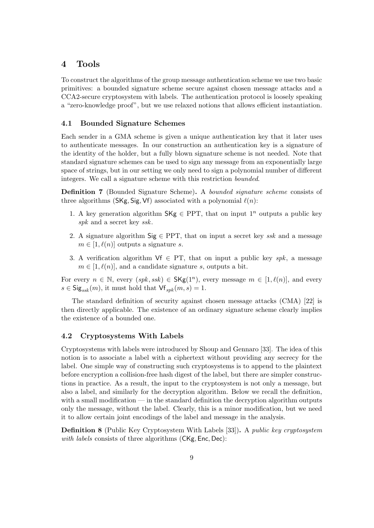# 4 Tools

To construct the algorithms of the group message authentication scheme we use two basic primitives: a bounded signature scheme secure against chosen message attacks and a CCA2-secure cryptosystem with labels. The authentication protocol is loosely speaking a "zero-knowledge proof", but we use relaxed notions that allows efficient instantiation.

## 4.1 Bounded Signature Schemes

Each sender in a GMA scheme is given a unique authentication key that it later uses to authenticate messages. In our construction an authentication key is a signature of the identity of the holder, but a fully blown signature scheme is not needed. Note that standard signature schemes can be used to sign any message from an exponentially large space of strings, but in our setting we only need to sign a polynomial number of different integers. We call a signature scheme with this restriction bounded.

Definition 7 (Bounded Signature Scheme). A bounded signature scheme consists of three algorithms (SKg, Sig, Vf) associated with a polynomial  $\ell(n)$ :

- 1. A key generation algorithm  $\mathsf{SKg} \in \mathrm{PPT}$ , that on input  $1^n$  outputs a public key spk and a secret key ssk.
- 2. A signature algorithm Sig  $\in$  PPT, that on input a secret key ssk and a message  $m \in [1, \ell(n)]$  outputs a signature s.
- 3. A verification algorithm  $\forall f \in PT$ , that on input a public key spk, a message  $m \in [1, \ell(n)]$ , and a candidate signature s, outputs a bit.

For every  $n \in \mathbb{N}$ , every  $(spk, ssk) \in \mathsf{SKg}(1^n)$ , every message  $m \in [1, \ell(n)]$ , and every  $s \in \text{Sig}_{ssk}(m)$ , it must hold that  $\text{Vf}_{spk}(m, s) = 1$ .

The standard definition of security against chosen message attacks (CMA) [22] is then directly applicable. The existence of an ordinary signature scheme clearly implies the existence of a bounded one.

## 4.2 Cryptosystems With Labels

Cryptosystems with labels were introduced by Shoup and Gennaro [33]. The idea of this notion is to associate a label with a ciphertext without providing any secrecy for the label. One simple way of constructing such cryptosystems is to append to the plaintext before encryption a collision-free hash digest of the label, but there are simpler constructions in practice. As a result, the input to the cryptosystem is not only a message, but also a label, and similarly for the decryption algorithm. Below we recall the definition, with a small modification — in the standard definition the decryption algorithm outputs only the message, without the label. Clearly, this is a minor modification, but we need it to allow certain joint encodings of the label and message in the analysis.

Definition 8 (Public Key Cryptosystem With Labels [33]). A public key cryptosystem with labels consists of three algorithms (CKg, Enc, Dec):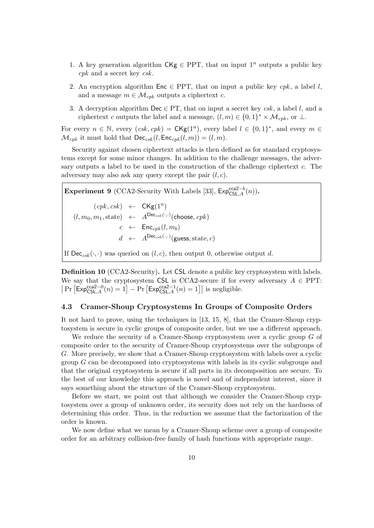- 1. A key generation algorithm  $CKg \in PPT$ , that on input  $1^n$  outputs a public key  $cpk$  and a secret key  $csk$ .
- 2. An encryption algorithm Enc  $\in$  PPT, that on input a public key cpk, a label l, and a message  $m \in \mathcal{M}_{cpk}$  outputs a ciphertext c.
- 3. A decryption algorithm Dec  $\in$  PT, that on input a secret key *csk*, a label *l*, and a ciphertext c outputs the label and a message,  $(l,m) \in \{0,1\}^* \times \mathcal{M}_{cpk}$ , or  $\perp$ .

For every  $n \in \mathbb{N}$ , every  $(csk, cpk) = CKg(1^n)$ , every label  $l \in \{0,1\}^*$ , and every  $m \in$  $\mathcal{M}_{cpk}$  it must hold that  $\mathsf{Dec}_{csk}(l, \mathsf{Enc}_{cpk}(l,m)) = (l, m)$ .

Security against chosen ciphertext attacks is then defined as for standard cryptosystems except for some minor changes. In addition to the challenge messages, the adversary outputs a label to be used in the construction of the challenge ciphertext c. The adversary may also ask any query except the pair  $(l, c)$ .

Experiment 9 (CCA2-Security With Labels [33],  $Exp_{CSL,A}^{cca2-b}(n)$ ).  $(cpk, csk) \leftarrow \mathsf{CKg}(1^n)$  $(l, m_0, m_1, \text{state}) \leftarrow A^{\text{Dec}_{csk}(\cdot, \cdot)}(\text{choose}, cpk)$  $c \ \ \leftarrow \ \ \mathsf{Enc}_{cpk}(l, m_b)$  $d \leftarrow A^{\mathsf{Dec}_{csk}(\cdot,\cdot)}(\mathsf{guess}, \mathsf{state}, c)$ If  $\text{Dec}_{csk}(\cdot, \cdot)$  was queried on  $(l, c)$ , then output 0, otherwise output d.

Definition 10 (CCA2-Security). Let CSL denote a public key cryptosystem with labels. We say that the cryptosystem CSL is CCA2-secure if for every adversary  $A \in \text{PPT}:$  $\Pr \left[ \text{Exp}_{\text{CSL},A}^{\text{cca2}-0}(n) = 1 \right] - \Pr \left[ \text{Exp}_{\text{CSL},A}^{\text{cca2}-1}(n) = 1 \right] |$  is negligible.

## 4.3 Cramer-Shoup Cryptosystems In Groups of Composite Orders

It not hard to prove, using the techniques in [13, 15, 8], that the Cramer-Shoup cryptosystem is secure in cyclic groups of composite order, but we use a different approach.

We reduce the security of a Cramer-Shoup cryptosystem over a cyclic group  $G$  of composite order to the security of Cramer-Shoup cryptosystems over the subgroups of G. More precisely, we show that a Cramer-Shoup cryptosystem with labels over a cyclic group G can be decomposed into cryptosystems with labels in its cyclic subgroups and that the original cryptosystem is secure if all parts in its decomposition are secure. To the best of our knowledge this approach is novel and of independent interest, since it says something about the structure of the Cramer-Shoup cryptosystem.

Before we start, we point out that although we consider the Cramer-Shoup cryptosystem over a group of unknown order, its security does not rely on the hardness of determining this order. Thus, in the reduction we assume that the factorization of the order is known.

We now define what we mean by a Cramer-Shoup scheme over a group of composite order for an arbitrary collision-free family of hash functions with appropriate range.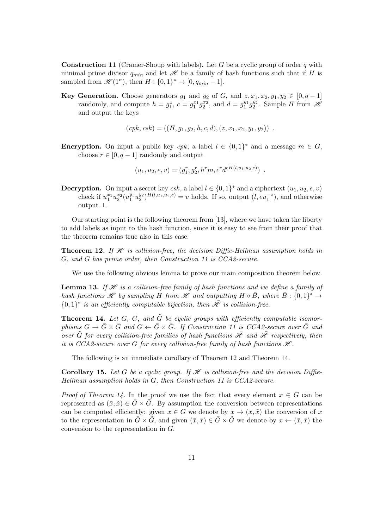**Construction 11** (Cramer-Shoup with labels). Let G be a cyclic group of order q with minimal prime divisor  $q_{min}$  and let  $\mathscr H$  be a family of hash functions such that if H is sampled from  $\mathscr{H}(1^n)$ , then  $H: \{0,1\}^* \to [0,q_{min}-1]$ .

**Key Generation.** Choose generators  $g_1$  and  $g_2$  of G, and  $z, x_1, x_2, y_1, y_2 \in [0, q-1]$ randomly, and compute  $h = g_1^z$ ,  $c = g_1^{x_1} g_2^{x_2}$ , and  $d = g_1^{y_1} g_2^{y_2}$ . Sample H from  $\mathcal{H}$ and output the keys

$$
(cpk, csk) = ((H, g1, g2, h, c, d), (z, x1, x2, y1, y2)).
$$

**Encryption.** On input a public key cpk, a label  $l \in \{0,1\}^*$  and a message  $m \in G$ , choose  $r \in [0, q-1]$  randomly and output

$$
(u_1, u_2, e, v) = (g_1^r, g_2^r, h^r m, c^r d^{rH(l, u_1, u_2, e)})
$$
.

**Decryption.** On input a secret key  $csk$ , a label  $l \in \{0,1\}^*$  and a ciphertext  $(u_1, u_2, e, v)$ check if  $u_1^{x_1} u_2^{x_2} (u_1^{y_1} u_2^{y_2})^{H(l, u_1, u_2, e)} = v$  holds. If so, output  $(l, e u_1^{-z})$ , and otherwise output ⊥.

Our starting point is the following theorem from [13], where we have taken the liberty to add labels as input to the hash function, since it is easy to see from their proof that the theorem remains true also in this case.

**Theorem 12.** If  $\mathcal{H}$  is collision-free, the decision Diffie-Hellman assumption holds in G, and G has prime order, then Construction 11 is CCA2-secure.

We use the following obvious lemma to prove our main composition theorem below.

**Lemma 13.** If  $\mathcal{H}$  is a collision-free family of hash functions and we define a family of hash functions  $\bar{\mathscr{H}}$  by sampling H from  $\mathscr{H}$  and outputting  $H \circ \bar{B}$ , where  $\bar{B}$  :  $\{0,1\}^* \to$  ${0,1}^*$  is an efficiently computable bijection, then  $\overline{\mathscr{H}}$  is collision-free.

**Theorem 14.** Let G,  $\bar{G}$ , and  $\tilde{G}$  be cyclic groups with efficiently computable isomorphisms  $G \to \bar{G} \times \tilde{G}$  and  $G \leftarrow \bar{G} \times \tilde{G}$ . If Construction 11 is CCA2-secure over  $\bar{G}$  and over  $\tilde{G}$  for every collision-free families of hash functions  $\tilde{\mathscr{H}}$  and  $\tilde{\mathscr{H}}$  respectively, then it is CCA2-secure over G for every collision-free family of hash functions  $\mathcal{H}$ .

The following is an immediate corollary of Theorem 12 and Theorem 14.

**Corollary 15.** Let G be a cyclic group. If  $\mathcal{H}$  is collision-free and the decision Diffie-Hellman assumption holds in G, then Construction 11 is CCA2-secure.

*Proof of Theorem 14.* In the proof we use the fact that every element  $x \in G$  can be represented as  $(\bar{x}, \tilde{x}) \in G \times G$ . By assumption the conversion between representations can be computed efficiently: given  $x \in G$  we denote by  $x \to (\bar{x}, \tilde{x})$  the conversion of x to the representation in  $\bar{G} \times \tilde{G}$ , and given  $(\bar{x}, \tilde{x}) \in \bar{G} \times \tilde{G}$  we denote by  $x \leftarrow (\bar{x}, \tilde{x})$  the conversion to the representation in G.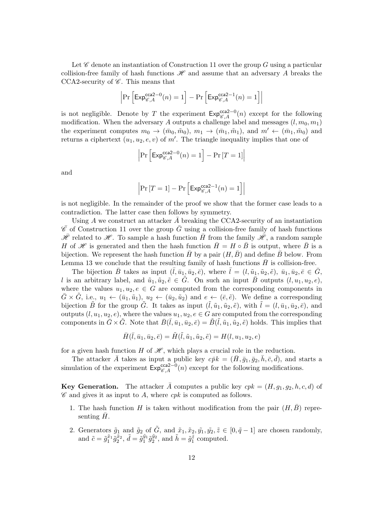Let  $\mathscr C$  denote an instantiation of Construction 11 over the group G using a particular collision-free family of hash functions  $\mathscr H$  and assume that an adversary A breaks the CCA2-security of  $\mathscr C$ . This means that

$$
\left|\Pr\left[\mathsf{Exp}_{\mathscr{C},A}^{\mathsf{cca2}-0}(n)=1\right]-\Pr\left[\mathsf{Exp}_{\mathscr{C},A}^{\mathsf{cca2}-1}(n)=1\right]\right|
$$

is not negligible. Denote by T the experiment  $Exp_{\mathscr{C},A}^{\text{cca2}-0}(n)$  except for the following modification. When the adversary A outputs a challenge label and messages  $(l, m_0, m_1)$ the experiment computes  $m_0 \to (\bar{m}_0, \tilde{m}_0), m_1 \to (\bar{m}_1, \tilde{m}_1),$  and  $m' \leftarrow (\bar{m}_1, \tilde{m}_0)$  and returns a ciphertext  $(u_1, u_2, e, v)$  of m'. The triangle inequality implies that one of

$$
\left| \Pr \left[ \text{Exp}_{\mathscr{C}, A}^{\text{cca2}-0}(n) = 1 \right] - \Pr \left[ T = 1 \right] \right|
$$

and

$$
\left|\Pr\left[T=1\right]-\Pr\left[\mathsf{Exp}_{\mathscr{C},A}^{\mathsf{cca2}-1}(n)=1\right]\right|
$$

is not negligible. In the remainder of the proof we show that the former case leads to a contradiction. The latter case then follows by symmetry.

Using A we construct an attacker  $\overline{A}$  breaking the CCA2-security of an instantiation  $\overline{\mathscr{C}}$  of Construction 11 over the group  $\overline{G}$  using a collision-free family of hash functions  $\bar{\mathscr{H}}$  related to  $\mathscr{H}$ . To sample a hash function  $\bar{H}$  from the family  $\bar{\mathscr{H}}$ , a random sample H of  $\mathscr H$  is generated and then the hash function  $\bar{H} = H \circ \bar{B}$  is output, where  $\bar{B}$  is a bijection. We represent the hash function  $\bar{H}$  by a pair  $(H, \bar{B})$  and define  $\bar{B}$  below. From Lemma 13 we conclude that the resulting family of hash functions  $H$  is collision-free.

The bijection  $\bar{B}$  takes as input  $(\bar{l}, \bar{u}_1, \bar{u}_2, \bar{e})$ , where  $\bar{l} = (l, \tilde{u}_1, \tilde{u}_2, \tilde{e})$ ,  $\bar{u}_1, \bar{u}_2, \bar{e} \in \bar{G}$ , l is an arbitrary label, and  $\tilde{u}_1, \tilde{u}_2, \tilde{e} \in \tilde{G}$ . On such an input  $\bar{B}$  outputs  $(l, u_1, u_2, e)$ , where the values  $u_1, u_2, e \in G$  are computed from the corresponding components in  $\bar{G} \times \bar{G}$ , i.e.,  $u_1 \leftarrow (\bar{u}_1, \tilde{u}_1), u_2 \leftarrow (\bar{u}_2, \tilde{u}_2)$  and  $e \leftarrow (\bar{e}, \tilde{e})$ . We define a corresponding bijection  $\tilde{B}$  for the group  $\tilde{G}$ . It takes as input  $(\tilde{l}, \tilde{u}_1, \tilde{u}_2, \tilde{e})$ , with  $\tilde{l} = (l, \bar{u}_1, \bar{u}_2, \bar{e})$ , and outputs  $(l, u_1, u_2, e)$ , where the values  $u_1, u_2, e \in G$  are computed from the corresponding components in  $\bar{G} \times \tilde{G}$ . Note that  $\bar{B}(\bar{l}, \bar{u}_1, \bar{u}_2, \bar{e}) = \tilde{B}(\tilde{l}, \tilde{u}_1, \tilde{u}_2, \tilde{e})$  holds. This implies that

$$
\bar{H}(\bar{l}, \bar{u}_1, \bar{u}_2, \bar{e}) = \tilde{H}(\tilde{l}, \tilde{u}_1, \tilde{u}_2, \tilde{e}) = H(l, u_1, u_2, e)
$$

for a given hash function H of  $\mathcal{H}$ , which plays a crucial role in the reduction.

The attacker  $\bar{A}$  takes as input a public key  $c\bar{p}k = (\bar{H}, \bar{g}_1, \bar{g}_2, \bar{h}, \bar{c}, \bar{d})$ , and starts a simulation of the experiment  $Exp_{\mathscr{C},A}^{cca2-0}(n)$  except for the following modifications.

**Key Generation.** The attacker  $\overline{A}$  computes a public key  $cpk = (H, g_1, g_2, h, c, d)$  of  $\mathscr C$  and gives it as input to A, where  $\mathfrak{c}_k$  is computed as follows.

- 1. The hash function H is taken without modification from the pair  $(H, \overline{B})$  representing  $H$ .
- 2. Generators  $\tilde{g}_1$  and  $\tilde{g}_2$  of  $\tilde{G}$ , and  $\tilde{x}_1, \tilde{x}_2, \tilde{y}_1, \tilde{y}_2, \tilde{z} \in [0, \tilde{q} 1]$  are chosen randomly, and  $\tilde{c} = \tilde{g}_1^{\tilde{x}_1} \tilde{g}_2^{\tilde{x}_2}, \ \tilde{d} = \tilde{g}_1^{\tilde{y}_1} \tilde{g}_2^{\tilde{y}_2}, \ \text{and} \ \tilde{h} = \tilde{g}_1^{\tilde{z}} \ \text{computed.}$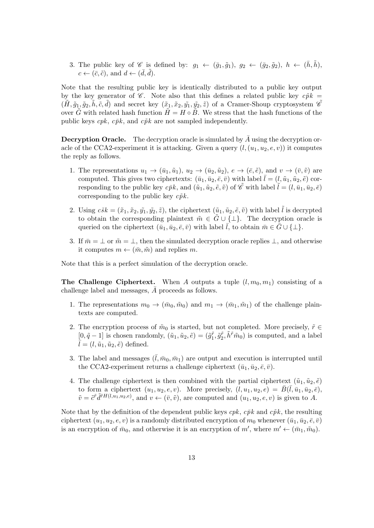3. The public key of C is defined by:  $g_1 \leftarrow (\bar{g}_1, \tilde{g}_1), g_2 \leftarrow (\bar{g}_2, \tilde{g}_2), h \leftarrow (\bar{h}, \bar{h}),$  $c \leftarrow (\bar{c}, \tilde{c}),$  and  $d \leftarrow (\bar{d}, \tilde{d}).$ 

Note that the resulting public key is identically distributed to a public key output by the key generator of  $\mathscr C$ . Note also that this defines a related public key  $c\tilde p k =$  $(\tilde{H},\tilde{g}_1,\tilde{g}_2,\tilde{h},\tilde{c},\tilde{d})$  and secret key  $(\tilde{x}_1,\tilde{x}_2,\tilde{y}_1,\tilde{y}_2,\tilde{z})$  of a Cramer-Shoup cryptosystem  $\tilde{\mathscr{C}}$ over  $\tilde{G}$  with related hash function  $\tilde{H} = H \circ \tilde{B}$ . We stress that the hash functions of the public keys  $cpk$ ,  $c\bar{p}k$ , and  $c\tilde{p}k$  are not sampled independently.

**Decryption Oracle.** The decryption oracle is simulated by  $A$  using the decryption oracle of the CCA2-experiment it is attacking. Given a query  $(l, (u_1, u_2, e, v))$  it computes the reply as follows.

- 1. The representations  $u_1 \to (\bar{u}_1, \tilde{u}_1), u_2 \to (\bar{u}_2, \tilde{u}_2), e \to (\bar{e}, \tilde{e}),$  and  $v \to (\bar{v}, \tilde{v})$  are computed. This gives two ciphertexts:  $(\bar{u}_1, \bar{u}_2, \bar{e}, \bar{v})$  with label  $\bar{l} = (l, \tilde{u}_1, \tilde{u}_2, \tilde{e})$  corresponding to the public key  $c\bar{p}k$ , and  $(\tilde{u}_1, \tilde{u}_2, \tilde{e}, \tilde{v})$  of  $\mathscr{C}$  with label  $\tilde{l} = (l, \bar{u}_1, \bar{u}_2, \bar{e})$ corresponding to the public key  $c\tilde{p}k$ .
- 2. Using  $c\tilde{s}k = (\tilde{x}_1, \tilde{x}_2, \tilde{y}_1, \tilde{y}_2, \tilde{z})$ , the ciphertext  $(\tilde{u}_1, \tilde{u}_2, \tilde{e}, \tilde{v})$  with label  $\tilde{l}$  is decrypted to obtain the corresponding plaintext  $\tilde{m} \in \tilde{G} \cup \{\perp\}$ . The decryption oracle is queried on the ciphertext  $(\bar{u}_1, \bar{u}_2, \bar{e}, \bar{v})$  with label  $\bar{l}$ , to obtain  $\bar{m} \in \bar{G} \cup \{\perp\}.$
- 3. If  $\bar{m} = \bot$  or  $\tilde{m} = \bot$ , then the simulated decryption oracle replies  $\bot$ , and otherwise it computes  $m \leftarrow (\bar{m}, \tilde{m})$  and replies m.

Note that this is a perfect simulation of the decryption oracle.

**The Challenge Ciphertext.** When A outputs a tuple  $(l, m_0, m_1)$  consisting of a challenge label and messages,  $\overline{A}$  proceeds as follows.

- 1. The representations  $m_0 \to (\bar{m}_0, \tilde{m}_0)$  and  $m_1 \to (\bar{m}_1, \tilde{m}_1)$  of the challenge plaintexts are computed.
- 2. The encryption process of  $\tilde{m}_0$  is started, but not completed. More precisely,  $\tilde{r} \in$  $[0, \tilde{q}-1]$  is chosen randomly,  $(\tilde{u}_1, \tilde{u}_2, \tilde{e}) = (\tilde{g}_1^{\tilde{r}}, \tilde{g}_2^{\tilde{r}}, \tilde{h}^{\tilde{r}}\tilde{m}_0)$  is computed, and a label  $\bar{l} = (l, \tilde{u}_1, \tilde{u}_2, \tilde{e})$  defined.
- 3. The label and messages  $(\bar{l}, \bar{m}_0, \bar{m}_1)$  are output and execution is interrupted until the CCA2-experiment returns a challenge ciphertext  $(\bar{u}_1, \bar{u}_2, \bar{e}, \bar{v})$ .
- 4. The challenge ciphertext is then combined with the partial ciphertext  $(\tilde{u}_1, \tilde{u}_2, \tilde{e})$ to form a ciphertext  $(u_1, u_2, e, v)$ . More precisely,  $(\tilde{l}, u_1, u_2, e) = \overline{B}(\overline{l}, \overline{u}_1, \overline{u}_2, \overline{e}),$  $\tilde{v} = \tilde{c}^{\tilde{r}} d^{\tilde{r}H(l,u_1,u_2,e)},$  and  $v \leftarrow (\bar{v}, \tilde{v}),$  are computed and  $(u_1, u_2, e, v)$  is given to A.

Note that by the definition of the dependent public keys  $cpk$ ,  $c\bar{p}k$  and  $c\tilde{p}k$ , the resulting ciphertext  $(u_1, u_2, e, v)$  is a randomly distributed encryption of  $m_0$  whenever  $(\bar{u}_1, \bar{u}_2, \bar{e}, \bar{v})$ is an encryption of  $\bar{m}_0$ , and otherwise it is an encryption of  $m'$ , where  $m' \leftarrow (\bar{m}_1, \tilde{m}_0)$ .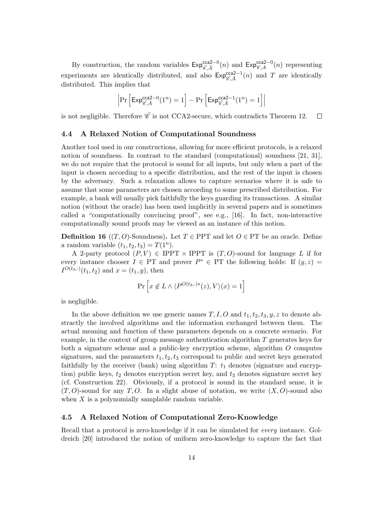By construction, the random variables  $Exp_{\vec{\mathscr{C}}, \vec{A}}^{\text{cca2}-0}(n)$  and  $Exp_{\vec{\mathscr{C}}, A}^{\text{cca2}-0}(n)$  representing experiments are identically distributed, and also  $Exp_{\overline{\mathscr{C}},\overline{A}}^{\text{cca2}-1}(n)$  and T are identically distributed. This implies that

$$
\left|\Pr\left[\mathsf{Exp}_{\bar{\mathscr{C}},\bar{A}}^{\mathsf{cca2}-0}(1^n)=1\right]-\Pr\left[\mathsf{Exp}_{\bar{\mathscr{C}},\bar{A}}^{\mathsf{cca2}-1}(1^n)=1\right]\right|
$$

is not negligible. Therefore  $\overline{\mathscr{C}}$  is not CCA2-secure, which contradicts Theorem 12.  $\Box$ 

## 4.4 A Relaxed Notion of Computational Soundness

Another tool used in our constructions, allowing for more efficient protocols, is a relaxed notion of soundness. In contrast to the standard (computational) soundness [21, 31], we do not require that the protocol is sound for all inputs, but only when a part of the input is chosen according to a specific distribution, and the rest of the input is chosen by the adversary. Such a relaxation allows to capture scenarios where it is safe to assume that some parameters are chosen according to some prescribed distribution. For example, a bank will usually pick faithfully the keys guarding its transactions. A similar notion (without the oracle) has been used implicitly in several papers and is sometimes called a "computationally convincing proof", see e.g., [16]. In fact, non-interactive computationally sound proofs may be viewed as an instance of this notion.

**Definition 16** ((T, O)-Soundness). Let  $T \in \text{PPT}$  and let  $O \in \text{PT}$  be an oracle. Define a random variable  $(t_1, t_2, t_3) = T(1^n)$ .

A 2-party protocol  $(P, V) \in \text{IPT } \times \text{IPT }$  is  $(T, O)$ -sound for language L if for every instance chooser  $I \in PT$  and prover  $P^* \in PT$  the following holds: If  $(y, z) =$  $I^{O(t_3,\cdot)}(t_1,t_2)$  and  $x=(t_1,y)$ , then

$$
\Pr\left[x \notin L \land \langle P^{O(t_3, \cdot)*}(z), V \rangle(x) = 1\right]
$$

is negligible.

In the above definition we use generic names  $T, I, O$  and  $t_1, t_2, t_3, y, z$  to denote abstractly the involved algorithms and the information exchanged between them. The actual meaning and function of these parameters depends on a concrete scenario. For example, in the context of group message authentication algorithm  $T$  generates keys for both a signature scheme and a public-key encryption scheme, algorithm O computes signatures, and the parameters  $t_1, t_2, t_3$  correspond to public and secret keys generated faithfully by the receiver (bank) using algorithm  $T: t_1$  denotes (signature and encryption) public keys,  $t_2$  denotes encryption secret key, and  $t_3$  denotes signature secret key (cf. Construction 22). Obviously, if a protocol is sound in the standard sense, it is  $(T, O)$ -sound for any T, O. In a slight abuse of notation, we write  $(X, O)$ -sound also when  $X$  is a polynomially samplable random variable.

## 4.5 A Relaxed Notion of Computational Zero-Knowledge

Recall that a protocol is zero-knowledge if it can be simulated for every instance. Goldreich [20] introduced the notion of uniform zero-knowledge to capture the fact that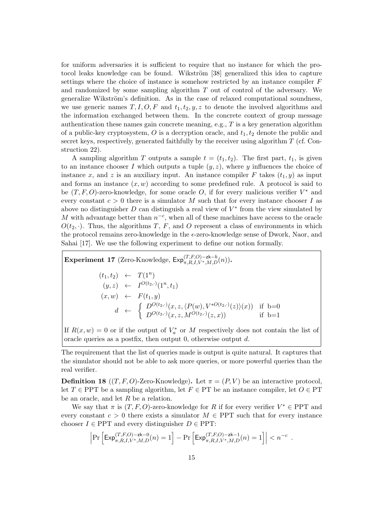for uniform adversaries it is sufficient to require that no instance for which the protocol leaks knowledge can be found. Wikström [38] generalized this idea to capture settings where the choice of instance is somehow restricted by an instance compiler F and randomized by some sampling algorithm  $T$  out of control of the adversary. We generalize Wikström's definition. As in the case of relaxed computational soundness, we use generic names  $T, I, O, F$  and  $t_1, t_2, y, z$  to denote the involved algorithms and the information exchanged between them. In the concrete context of group message authentication these names gain concrete meaning, e.g.,  $T$  is a key generation algorithm of a public-key cryptosystem,  $O$  is a decryption oracle, and  $t_1, t_2$  denote the public and secret keys, respectively, generated faithfully by the receiver using algorithm  $T$  (cf. Construction 22).

A sampling algorithm T outputs a sample  $t = (t_1, t_2)$ . The first part,  $t_1$ , is given to an instance chooser I which outputs a tuple  $(y, z)$ , where y influences the choice of instance x, and z is an auxiliary input. An instance compiler F takes  $(t_1, y)$  as input and forms an instance  $(x, w)$  according to some predefined rule. A protocol is said to be  $(T, F, O)$ -zero-knowledge, for some oracle O, if for every malicious verifier  $V^*$  and every constant  $c > 0$  there is a simulator M such that for every instance chooser I as above no distinguisher  $D$  can distinguish a real view of  $V^*$  from the view simulated by M with advantage better than  $n^{-c}$ , when all of these machines have access to the oracle  $O(t_2, \cdot)$ . Thus, the algorithms T, F, and O represent a class of environments in which the protocol remains zero-knowledge in the  $\epsilon$ -zero-knowledge sense of Dwork, Naor, and Sahai [17]. We use the following experiment to define our notion formally.

Experiment 17 (Zero-Knowledge,  $\mathsf{Exp}^{(T,F,O)-\mathsf{zk}-b}_{\pi,R,I,V^*,M,D}(n)$ ).  $(t_1, t_2) \leftarrow T(1^n)$  $(y, z) \leftarrow I^{O(t_2, \cdot)}(1^n, t_1)$  $(x, w) \leftarrow F(t_1, y)$  $d \leftarrow \begin{cases} D^{O(t_2,\cdot)}(x,z,\langle P(w), V^{*O(t_2,\cdot)}(z) \rangle(x)) & \text{if } b=0 \\ D^{O(t_2,\cdot)}(x) & \text{if } c \geq 1, \end{cases}$  $D^{O(t_2,\cdot)}(x,z,M^{O(t_2,\cdot)}(z,x))$  if b=1

If  $R(x, w) = 0$  or if the output of  $V_a^*$  or M respectively does not contain the list of oracle queries as a postfix, then output 0, otherwise output d.

The requirement that the list of queries made is output is quite natural. It captures that the simulator should not be able to ask more queries, or more powerful queries than the real verifier.

**Definition 18** ((T, F, O)-Zero-Knowledge). Let  $\pi = (P, V)$  be an interactive protocol, let  $T \in \text{PPT}$  be a sampling algorithm, let  $F \in \text{PT}$  be an instance compiler, let  $O \in \text{PT}$ be an oracle, and let  $R$  be a relation.

We say that  $\pi$  is  $(T, F, O)$ -zero-knowledge for R if for every verifier  $V^* \in \text{PPT}$  and every constant  $c > 0$  there exists a simulator  $M \in \text{PPT}$  such that for every instance chooser  $I \in PPT$  and every distinguisher  $D \in PPT$ :

$$
\left| \Pr \left[ \text{Exp}_{\pi,R,I,V^*,M,D}^{(T,F,O)-\text{zk}-0}(n) = 1 \right] - \Pr \left[ \text{Exp}_{\pi,R,I,V^*,M,D}^{(T,F,O)-\text{zk}-1}(n) = 1 \right] \right| < n^{-c}.
$$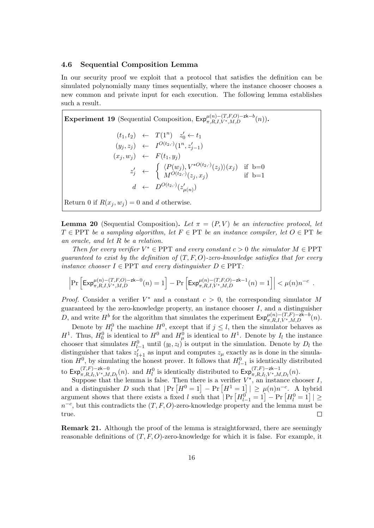## 4.6 Sequential Composition Lemma

In our security proof we exploit that a protocol that satisfies the definition can be simulated polynomially many times sequentially, where the instance chooser chooses a new common and private input for each execution. The following lemma establishes such a result.

Experiment 19 (Sequential Composition,  $Exp_{\pi,R,I,V^*,M,D}^{\mu(n)-(T,F,O)-zk-b}(n)$ ).  $(t_1, t_2) \leftarrow T(1^n) \quad z'_0 \leftarrow t_1$  $(y_j, z_j) \leftarrow I^{O(t_2, \cdot)}(1^n, z'_{j-1})$  $(x_j, w_j) \leftarrow F(t_1, y_j)$  $z'_j \leftarrow \begin{cases} \langle P(w_j), V^{*O(t_2, \cdot)}(z_j) \rangle (x_j) & \text{if } b=0 \\ M^{O(t_2, \cdot)}(z_j, x_j) & \text{if } b=1 \end{cases}$  $M^{O(t_2, \cdot)}(z_j, x_j)$  if b=1  $d \leftarrow D^{O(t_2, \cdot)}(z'_{\mu(n)})$ 

Return 0 if  $R(x_i, w_i) = 0$  and d otherwise.

**Lemma 20** (Sequential Composition). Let  $\pi = (P, V)$  be an interactive protocol, let  $T \in \text{PPT}$  be a sampling algorithm, let  $F \in \text{PT}$  be an instance compiler, let  $O \in \text{PT}$  be an oracle, and let R be a relation.

Then for every verifier  $V^* \in \text{PPT}$  and every constant  $c > 0$  the simulator  $M \in \text{PPT}$ guaranteed to exist by the definition of  $(T, F, O)$ -zero-knowledge satisfies that for every instance chooser  $I \in PPT$  and every distinguisher  $D \in PPT$ :

$$
\left|\Pr\left[\text{Exp}_{\pi,R,I,V^*,M,D}^{\mu(n)-(T,F,O)-\text{zk}-0}(n)=1\right]-\Pr\left[\text{Exp}_{\pi,R,I,V^*,M,D}^{\mu(n)-(T,F,O)-\text{zk}-1}(n)=1\right]\right|<\mu(n)n^{-c}\enspace.
$$

*Proof.* Consider a verifier  $V^*$  and a constant  $c > 0$ , the corresponding simulator M guaranteed by the zero-knowledge property, an instance chooser  $I$ , and a distinguisher D, and write  $H^b$  for the algorithm that simulates the experiment  $\mathsf{Exp}^{\mu(n)-(T,F)-\mathsf{zk}-b}_{\pi,R,I,V^*,M,D}(n)$ .

Denote by  $H_l^0$  the machine  $H^0$ , except that if  $j \leq l$ , then the simulator behaves as  $H^1$ . Thus,  $H_0^0$  is identical to  $H^0$  and  $H_\mu^0$  is identical to  $H^1$ . Denote by  $I_l$  the instance chooser that simulates  $H_{l-1}^0$  until  $(y_l, z_l)$  is output in the simulation. Denote by  $D_l$  the distinguisher that takes  $z'_{l+1}$  as input and computes  $z_{\mu}$  exactly as is done in the simulation  $H^0$ , by simulating the honest prover. It follows that  $H^0_{l-1}$  is identically distributed to  $\textsf{Exp}_{\pi,R,I_l,V^*,M,D_l}^{(T,F)-\textsf{zk}-0}(n)$ . and  $H_l^0$  is identically distributed to  $\textsf{Exp}_{\pi,R,I_l,V^*,M,D_l}^{(T,F)-\textsf{zk}-1}(n)$ .

Suppose that the lemma is false. Then there is a verifier  $V^*$ , an instance chooser I, and a distinguisher D such that  $|\Pr[H^0 = 1] - \Pr[H^1 = 1]| \geq \mu(n)n^{-c}$ . A hybrid argument shows that there exists a fixed l such that  $\left| \Pr \left[ H_{l-1}^0 = 1 \right] - \Pr \left[ H_l^0 = 1 \right] \right| \geq$  $n^{-c}$ , but this contradicts the  $(T, F, O)$ -zero-knowledge property and the lemma must be true. П

Remark 21. Although the proof of the lemma is straightforward, there are seemingly reasonable definitions of  $(T, F, O)$ -zero-knowledge for which it is false. For example, it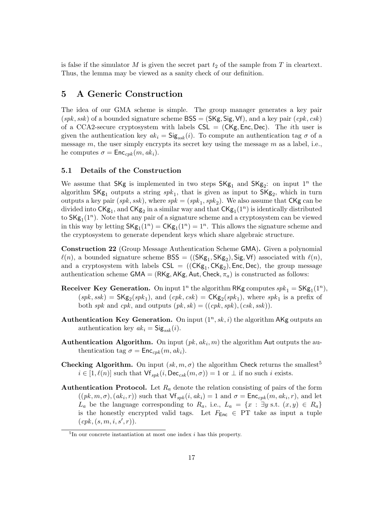is false if the simulator M is given the secret part  $t_2$  of the sample from T in cleartext. Thus, the lemma may be viewed as a sanity check of our definition.

# 5 A Generic Construction

The idea of our GMA scheme is simple. The group manager generates a key pair  $(spk, ssk)$  of a bounded signature scheme  $BSS = (SKg, Sig, Vf)$ , and a key pair  $(cpk, csk)$ of a CCA2-secure cryptosystem with labels  $CSL = (CKg, Enc, Dec)$ . The *i*th user is given the authentication key  $ak_i = \text{Sig}_{ssk}(i)$ . To compute an authentication tag  $\sigma$  of a message  $m$ , the user simply encrypts its secret key using the message  $m$  as a label, i.e., he computes  $\sigma = \textsf{Enc}_{cpk}(m, ak_i)$ .

## 5.1 Details of the Construction

We assume that  $SKg$  is implemented in two steps  $SKg_1$  and  $SKg_2$ : on input  $1^n$  the algorithm  $SKg_1$  outputs a string  $spk_1$ , that is given as input to  $SKg_2$ , which in turn outputs a key pair  $(spk, ssk)$ , where  $spk = (spk_1, spk_2)$ . We also assume that  $CKg$  can be divided into  $\mathsf{CKg}_1$ , and  $\mathsf{CKg}_2$  in a similar way and that  $\mathsf{CKg}_1(1^n)$  is identically distributed to  $\mathsf{SKg}_1(1^n)$ . Note that any pair of a signature scheme and a cryptosystem can be viewed in this way by letting  $\mathsf{SKg}_1(1^n) = \mathsf{CKg}_1(1^n) = 1^n$ . This allows the signature scheme and the cryptosystem to generate dependent keys which share algebraic structure.

Construction 22 (Group Message Authentication Scheme GMA). Given a polynomial  $\ell(n)$ , a bounded signature scheme  $BSS = ((SKg_1, SKg_2), Sig, Vf)$  associated with  $\ell(n)$ , and a cryptosystem with labels  $CSL = ((CKg_1, CKg_2), Enc, Dec)$ , the group message authentication scheme GMA = (RKg, AKg, Aut, Check,  $\pi_a$ ) is constructed as follows:

- Receiver Key Generation. On input  $1^n$  the algorithm RKg computes  $spk_1 = \mathsf{SKg}_1(1^n)$ ,  $(spk,ssk) = \mathsf{SKg}_2(spk_1),$  and  $(cpk,csk) = \mathsf{CKg}_2(spk_1),$  where  $spk_1$  is a prefix of both spk and cpk, and outputs  $(pk, sk) = ((cpk, spk), (csk, ssk)).$
- Authentication Key Generation. On input  $(1^n, sk, i)$  the algorithm AKg outputs an authentication key  $ak_i = \text{Sig}_{ssk}(i)$ .
- **Authentication Algorithm.** On input  $(pk, ak_i, m)$  the algorithm Aut outputs the authentication tag  $\sigma = \text{Enc}_{cpk}(m, ak_i).$
- **Checking Algorithm.** On input  $(s_k, m, \sigma)$  the algorithm Check returns the smallest<sup>5</sup>  $i \in [1, \ell(n)]$  such that  $\forall f_{spk} (i, \text{Dec}_{csk} (m, \sigma)) = 1$  or  $\perp$  if no such i exists.
- Authentication Protocol. Let  $R_a$  denote the relation consisting of pairs of the form  $((pk, m, \sigma), (ak_i, r))$  such that  $\mathsf{Vf}_{spk}(i, ak_i) = 1$  and  $\sigma = \mathsf{Enc}_{cpk}(m, ak_i, r)$ , and let  $L_a$  be the language corresponding to  $R_a$ , i.e.,  $L_a = \{x : \exists y \text{ s.t. } (x, y) \in R_a\}$ is the honestly encrypted valid tags. Let  $F_{\text{Enc}} \in PT$  take as input a tuple  $(cpk, (s, m, i, s', r)).$

 ${}^{5}$ In our concrete instantiation at most one index *i* has this property.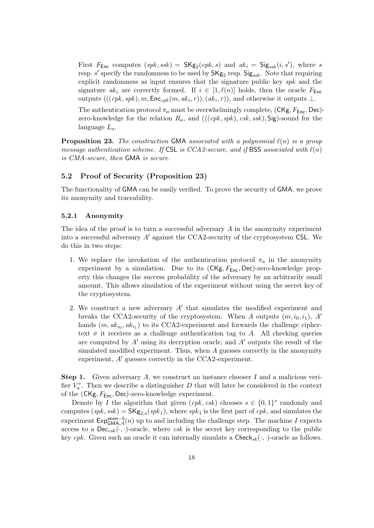First  $F_{\text{Enc}}$  computes  $(spk, ssk) = \text{SKg}_2(cpk, s)$  and  $ak_i = \text{Sig}_{ssk}(i, s')$ , where s resp. s' specify the randomness to be used by  $\mathsf{SKg}_2$  resp.  $\mathsf{Sig}_{ssk}$ . Note that requiring explicit randomness as input ensures that the signature public key  $spk$  and the signature  $ak_i$  are correctly formed. If  $i \in [1, \ell(n)]$  holds, then the oracle  $F_{\text{Enc}}$ outputs  $(((cpk,spk),m,\textsf{Enc}_{cpk}(m,ak_i,r)),(ak_i,r)),$  and otherwise it outputs  $\bot$ .

The authentication protocol  $\pi_a$  must be overwhelmingly complete, (CKg,  $F_{\text{Enc}}$ , Dec)zero-knowledge for the relation  $R_a$ , and  $(((cpk, spk), csk, ssk),$  Sig)-sound for the language  $L_a$ .

**Proposition 23.** The construction GMA associated with a polynomial  $\ell(n)$  is a group message authentication scheme. If CSL is CCA2-secure, and if BSS associated with  $\ell(n)$ is CMA-secure, then GMA is secure.

## 5.2 Proof of Security (Proposition 23)

The functionality of GMA can be easily verified. To prove the security of GMA, we prove its anonymity and traceability.

## 5.2.1 Anonymity

The idea of the proof is to turn a successful adversary  $\tilde{A}$  in the anonymity experiment into a successful adversary  $A'$  against the CCA2-security of the cryptosystem CSL. We do this in two steps:

- 1. We replace the invokation of the authentication protocol  $\pi_a$  in the anonymity experiment by a simulation. Due to its  $(\mathsf{CKg}, F_{\mathsf{Enc}})$ , Dec)-zero-knowledge property this changes the success probability of the adversary by an arbitrarily small amount. This allows simulation of the experiment without using the secret key of the cryptosystem.
- 2. We construct a new adversary  $A'$  that simulates the modified experiment and breaks the CCA2-security of the cryptosystem. When A outputs  $(m, i_0, i_1), A$ hands  $(m, ak_{i_0}, ak_{i_1})$  to its CCA2-experiment and forwards the challenge ciphertext  $\sigma$  it receives as a challenge authentication tag to A. All checking queries are computed by  $A'$  using its decryption oracle, and  $A'$  outputs the result of the simulated modified experiment. Thus, when  $A$  guesses correctly in the anonymity experiment,  $A'$  guesses correctly in the CCA2-experiment.

**Step 1.** Given adversary  $A$ , we construct an instance chooser  $I$  and a malicious verifier  $V_a^*$ . Then we describe a distinguisher D that will later be considered in the context of the  $(CKg, F_{Enc}, Dec)$ -zero-knowledge experiment.

Denote by I the algorithm that given  $(cpk, csk)$  chooses  $s \in \{0,1\}^*$  randomly and computes  $(spk, ssk) = \mathsf{SKg}_{2,s}(spk_1)$ , where  $spk_1$  is the first part of  $cpk$ , and simulates the experiment  $Exp_{GMA,A}^{\text{anon}-b}(n)$  up to and including the challenge step. The machine I expects access to a  $\mathsf{Dec}_{csk}(\cdot,\cdot)$ -oracle, where  $csk$  is the secret key corresponding to the public key cpk. Given such an oracle it can internally simulate a  $\mathsf{Check}_{sk}(\cdot, \cdot)$ -oracle as follows.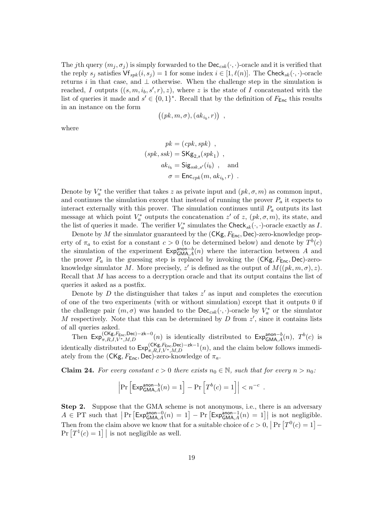The jth query  $(m_i, \sigma_i)$  is simply forwarded to the  $\text{Dec}_{csk}(\cdot, \cdot)$ -oracle and it is verified that the reply  $s_j$  satisfies  $\mathsf{Vf}_{spk}(i, s_j) = 1$  for some index  $i \in [1, \ell(n)]$ . The Check<sub>sk</sub> $(\cdot, \cdot)$ -oracle returns i in that case, and  $\perp$  otherwise. When the challenge step in the simulation is reached, I outputs  $((s, m, i_b, s', r), z)$ , where z is the state of I concatenated with the list of queries it made and  $s' \in \{0,1\}^*$ . Recall that by the definition of  $F_{\text{Enc}}$  this results in an instance on the form

$$
((pk, m, \sigma), (ak_{i_b}, r)) ,
$$

where

$$
pk = (cpk, spk) ,
$$
  
\n
$$
(spk, ssk) = \mathsf{SKg}_{2,s}(spk_1) ,
$$
  
\n
$$
ak_{i_b} = \mathsf{Sig}_{ssk,s'}(i_b) ,
$$
 and  
\n
$$
\sigma = \mathsf{Enc}_{cpk}(m, ak_{i_b}, r) .
$$

Denote by  $V_a^*$  the verifier that takes z as private input and  $(pk, \sigma, m)$  as common input, and continues the simulation except that instead of running the prover  $P_a$  it expects to interact externally with this prover. The simulation continues until  $P_a$  outputs its last message at which point  $V_a^*$  outputs the concatenation  $z'$  of z,  $(pk, \sigma, m)$ , its state, and the list of queries it made. The verifier  $V_a^*$  simulates the Check<sub>sk</sub> $(\cdot, \cdot)$ -oracle exactly as I.

Denote by M the simulator guaranteed by the  $(CKg, F_{Enc}, Dec)$ -zero-knowledge property of  $\pi_a$  to exist for a constant  $c > 0$  (to be determined below) and denote by  $T^b(c)$ the simulation of the experiment  $Exp_{GMA,A}^{anon-b}(n)$  where the interaction between A and the prover  $P_a$  in the guessing step is replaced by invoking the  $(CKg, F_{Enc}, Dec)$ -zeroknowledge simulator M. More precisely, z' is defined as the output of  $M((pk, m, \sigma), z)$ . Recall that M has access to a decryption oracle and that its output contains the list of queries it asked as a postfix.

Denote by  $D$  the distinguisher that takes  $z'$  as input and completes the execution of one of the two experiments (with or without simulation) except that it outputs 0 if the challenge pair  $(m, \sigma)$  was handed to the  $\mathsf{Dec}_{csk}(\cdot, \cdot)$ -oracle by  $V_a^*$  or the simulator M respectively. Note that this can be determined by  $D$  from  $z'$ , since it contains lists of all queries asked.

Then  $Exp_{\pi,R,I,V^*,M,D}^{(CKg,F_{Enc},Dec)-zk-0}(n)$  is identically distributed to  $Exp_{GMA,A}^{anon-b}(n)$ ,  $T^b(c)$  is identically distributed to  $Exp_{\pi,R,I,V^*,M,D}^{(\text{CKg},F_{\text{Enc}},\text{Dec})-zk-1}(n)$ , and the claim below follows immediately from the (CKg,  $F_{\text{Enc}}$ , Dec)-zero-knowledge of  $\pi_a$ .

**Claim 24.** For every constant  $c > 0$  there exists  $n_0 \in \mathbb{N}$ , such that for every  $n > n_0$ :

$$
\left|\Pr\left[\text{Exp}_{\mathsf{GMA},A}^{\text{anon}-b}(n)=1\right]-\Pr\left[T^b(c)=1\right]\right| < n^{-c}.
$$

Step 2. Suppose that the GMA scheme is not anonymous, i.e., there is an adversary  $A \in PT$  such that  $\left| \Pr \left[ \mathsf{Exp}_{\mathsf{GMA}, A}^{\text{anon}-0}(n) = 1 \right] - \Pr \left[ \mathsf{Exp}_{\mathsf{GMA}, A}^{\text{anon}-1}(n) = 1 \right] \right|$  is not negligible. Then from the claim above we know that for a suitable choice of  $c > 0$ ,  $\Pr[T^0(c) = 1] Pr\left[T^{1}(c) = 1\right]$  is not negligible as well.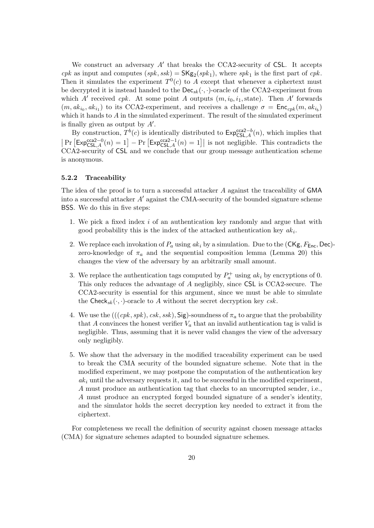We construct an adversary  $A'$  that breaks the CCA2-security of CSL. It accepts cpk as input and computes  $(spk, ssk) = \mathsf{SKg}_2(spk_1)$ , where  $spk_1$  is the first part of cpk. Then it simulates the experiment  $T^0(c)$  to A except that whenever a ciphertext must be decrypted it is instead handed to the  $\mathsf{Dec}_{sk}(\cdot, \cdot)$ -oracle of the CCA2-experiment from which A' received cpk. At some point A outputs  $(m, i_0, i_1, \text{state})$ . Then A' forwards  $(m, ak_{i_0}, ak_{i_1})$  to its CCA2-experiment, and receives a challenge  $\sigma = \text{Enc}_{cpk}(m, ak_{i_0})$ which it hands to  $A$  in the simulated experiment. The result of the simulated experiment is finally given as output by  $A'$ .

By construction,  $T^b(c)$  is identically distributed to  $Exp_{CSL,A}^{cca2-b}(n)$ , which implies that  $\Pr \left[ \text{Exp}_{\text{CSL},A}^{\text{cca2}-0}(n) = 1 \right] - \Pr \left[ \text{Exp}_{\text{CSL},A}^{\text{cca2}-1}(n) = 1 \right]$  is not negligible. This contradicts the CCA2-security of CSL and we conclude that our group message authentication scheme is anonymous.

## 5.2.2 Traceability

The idea of the proof is to turn a successful attacker A against the traceability of GMA into a successful attacker  $A'$  against the CMA-security of the bounded signature scheme BSS. We do this in five steps:

- 1. We pick a fixed index i of an authentication key randomly and argue that with good probability this is the index of the attacked authentication key  $ak_i$ .
- 2. We replace each invokation of  $P_a$  using  $ak_i$  by a simulation. Due to the (CKg,  $F_{\text{Enc}}$ , Dec)zero-knowledge of  $\pi_a$  and the sequential composition lemma (Lemma 20) this changes the view of the adversary by an arbitrarily small amount.
- 3. We replace the authentication tags computed by  $P_a^+$  using  $ak_i$  by encryptions of 0. This only reduces the advantage of A negligibly, since CSL is CCA2-secure. The CCA2-security is essential for this argument, since we must be able to simulate the Check<sub>sk</sub> $(\cdot, \cdot)$ -oracle to A without the secret decryption key csk.
- 4. We use the  $(((cpk, spk), csk, ssk),$  Sig)-soundness of  $\pi_a$  to argue that the probability that A convinces the honest verifier  $V_a$  that an invalid authentication tag is valid is negligible. Thus, assuming that it is never valid changes the view of the adversary only negligibly.
- 5. We show that the adversary in the modified traceability experiment can be used to break the CMA security of the bounded signature scheme. Note that in the modified experiment, we may postpone the computation of the authentication key  $ak_i$  until the adversary requests it, and to be successful in the modified experiment, A must produce an authentication tag that checks to an uncorrupted sender, i.e., A must produce an encrypted forged bounded signature of a sender's identity, and the simulator holds the secret decryption key needed to extract it from the ciphertext.

For completeness we recall the definition of security against chosen message attacks (CMA) for signature schemes adapted to bounded signature schemes.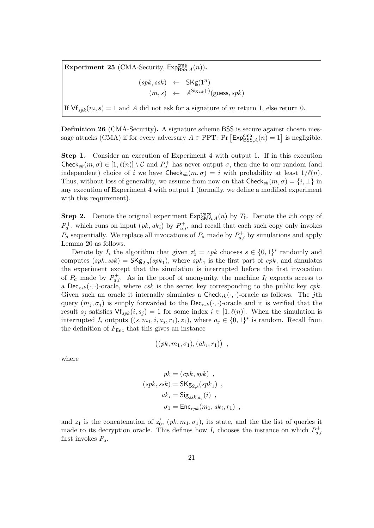Experiment 25 (CMA-Security,  $Exp_{\text{BSS},A}^{\text{cma}}(n)$ ).

$$
(spk,ssk) \leftarrow \text{SKg}(1^n)
$$

$$
(m,s) \leftarrow A^{\text{Sig}_{ssk}(\cdot)}(\text{guess},spk)
$$

If  $\forall f_{snk}(m, s) = 1$  and A did not ask for a signature of m return 1, else return 0.

Definition 26 (CMA-Security). A signature scheme BSS is secure against chosen message attacks (CMA) if for every adversary  $A \in \text{PPT: } \Pr \left[ \text{Exp}_{\text{BSS},A}^{\text{cma}}(n) = 1 \right]$  is negligible.

Step 1. Consider an execution of Experiment 4 with output 1. If in this execution Check<sub>sk</sub>  $(m, \sigma) \in [1, \ell(n)] \setminus C$  and  $P_a^+$  has never output  $\sigma$ , then due to our random (and independent) choice of i we have  $\mathsf{Check}_{sk}(m, \sigma) = i$  with probability at least  $1/\ell(n)$ . Thus, without loss of generality, we assume from now on that  $\text{Check}_{sk}(m, \sigma) = \{i, \perp\}$  in any execution of Experiment 4 with output 1 (formally, we define a modified experiment with this requirement).

**Step 2.** Denote the original experiment  $Exp_{GMA,A}^{trace}(n)$  by  $T_0$ . Denote the *i*th copy of  $P_a^+$ , which runs on input  $(pk, ak_i)$  by  $P_{a,i}^+$ , and recall that each such copy only invokes  $P_a$  sequentially. We replace all invocations of  $P_a$  made by  $P_{a,i}^+$  by simulations and apply Lemma 20 as follows.

Denote by  $I_i$  the algorithm that given  $z'_0 = cpk$  chooses  $s \in \{0,1\}^*$  randomly and computes  $(spk, ssk) = \mathsf{SKg}_{2,s}(spk_1)$ , where  $spk_1$  is the first part of  $cpk$ , and simulates the experiment except that the simulation is interrupted before the first invocation of  $P_a$  made by  $P_{a,i}^+$ . As in the proof of anonymity, the machine  $I_i$  expects access to a  $\textsf{Dec}_{csk}(\cdot, \cdot)$ -oracle, where csk is the secret key corresponding to the public key cpk. Given such an oracle it internally simulates a Check<sub>sk</sub> $(\cdot, \cdot)$ -oracle as follows. The *j*th query  $(m_i, \sigma_i)$  is simply forwarded to the  $\text{Dec}_{csk}(\cdot, \cdot)$ -oracle and it is verified that the result  $s_j$  satisfies  $\forall f_{spk} (i, s_j) = 1$  for some index  $i \in [1, \ell(n)]$ . When the simulation is interrupted  $I_i$  outputs  $((s, m_1, i, a_j, r_1), z_1)$ , where  $a_j \in \{0, 1\}^*$  is random. Recall from the definition of  $F_{\text{Enc}}$  that this gives an instance

$$
((pk, m_1, \sigma_1), (ak_i, r_1)),
$$

where

$$
pk = (cpk, spk) ,
$$
  
\n
$$
(spk, ssk) = \text{SKg}_{2,s}(spk_1) ,
$$
  
\n
$$
ak_i = \text{Sig}_{ssk,a_j}(i) ,
$$
  
\n
$$
\sigma_1 = \text{Enc}_{cpk}(m_1, ak_i, r_1) ,
$$

and  $z_1$  is the concatenation of  $z'_0$ ,  $(pk, m_1, \sigma_1)$ , its state, and the the list of queries it made to its decryption oracle. This defines how  $I_i$  chooses the instance on which  $P_{a,i}^+$ first invokes  $P_a$ .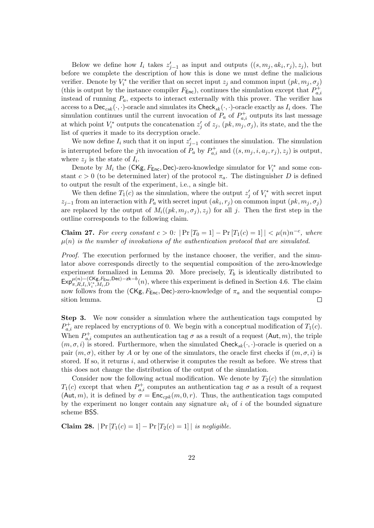Below we define how  $I_i$  takes  $z'_{j-1}$  as input and outputs  $((s, m_j, ak_i, r_j), z_j)$ , but before we complete the description of how this is done we must define the malicious verifier. Denote by  $V_i^*$  the verifier that on secret input  $z_j$  and common input  $(pk, m_j, \sigma_j)$ (this is output by the instance compiler  $F_{\text{Enc}}$ ), continues the simulation except that  $P_{a,i}^+$ instead of running  $P_a$ , expects to interact externally with this prover. The verifier has access to a  $\mathsf{Dec}_{csk}(\cdot,\cdot)$ -oracle and simulates its  $\mathsf{Check}_{sk}(\cdot,\cdot)$ -oracle exactly as  $I_i$  does. The simulation continues until the current invocation of  $P_a$  of  $P_{a,i}^+$  outputs its last message at which point  $V_i^*$  outputs the concatenation  $z'_j$  of  $z_j$ ,  $(pk, m_j, \sigma_j)$ , its state, and the the list of queries it made to its decryption oracle.

We now define  $I_i$  such that it on input  $z'_{j-1}$  continues the simulation. The simulation is interrupted before the jth invocation of  $P_a$  by  $P_{a,i}^+$  and  $((s, m_j, i, a_j, r_j), z_j)$  is output, where  $z_j$  is the state of  $I_i$ .

Denote by  $M_i$  the (CKg,  $F_{\text{Enc}}$ , Dec)-zero-knowledge simulator for  $V_i^*$  and some constant  $c > 0$  (to be determined later) of the protocol  $\pi_a$ . The distinguisher D is defined to output the result of the experiment, i.e., a single bit.

We then define  $T_1(c)$  as the simulation, where the output  $z_j'$  of  $V_i^*$  with secret input  $z_{j-1}$  from an interaction with  $P_a$  with secret input  $(ak_i, r_j)$  on common input  $(pk, m_j, \sigma_j)$ are replaced by the output of  $M_i((pk, m_j, \sigma_j), z_j)$  for all j. Then the first step in the outline corresponds to the following claim.

Claim 27. For every constant  $c > 0$ :  $|\Pr[T_0 = 1] - \Pr[T_1(c) = 1]| < \mu(n)n^{-c}$ , where  $\mu(n)$  is the number of invokations of the authentication protocol that are simulated.

Proof. The execution performed by the instance chooser, the verifier, and the simulator above corresponds directly to the sequential composition of the zero-knowledge experiment formalized in Lemma 20. More precisely,  $T<sub>b</sub>$  is identically distributed to  $Exp_{\pi,R,I_i,V_i^*,M_i,D}^{\mu(n)-(\text{CKg},F_{\text{Enc}},\text{Dec})-zk-b}(n)$ , where this experiment is defined in Section 4.6. The claim now follows from the (CKg,  $F_{\text{Enc}}$ , Dec)-zero-knowledge of  $\pi_a$  and the sequential composition lemma.  $\Box$ 

Step 3. We now consider a simulation where the authentication tags computed by  $P_{a,i}^+$  are replaced by encryptions of 0. We begin with a conceptual modification of  $T_1(c)$ . When  $P_{a,i}^+$  computes an authentication tag  $\sigma$  as a result of a request (Aut, m), the triple  $(m, \sigma, i)$  is stored. Furthermore, when the simulated Check<sub>sk</sub> $(\cdot, \cdot)$ -oracle is queried on a pair  $(m, \sigma)$ , either by A or by one of the simulators, the oracle first checks if  $(m, \sigma, i)$  is stored. If so, it returns  $i$ , and otherwise it computes the result as before. We stress that this does not change the distribution of the output of the simulation.

Consider now the following actual modification. We denote by  $T_2(c)$  the simulation  $T_1(c)$  except that when  $P_{a,i}^+$  computes an authentication tag  $\sigma$  as a result of a request (Aut, m), it is defined by  $\sigma = \text{Enc}_{cpk}(m, 0, r)$ . Thus, the authentication tags computed by the experiment no longer contain any signature  $ak_i$  of i of the bounded signature scheme BSS.

Claim 28.  $|\Pr[T_1(c) = 1] - \Pr[T_2(c) = 1]|$  is negligible.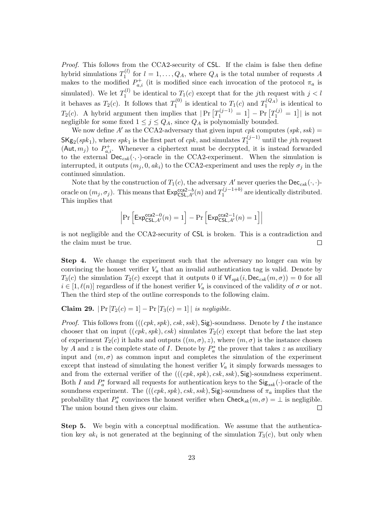Proof. This follows from the CCA2-security of CSL. If the claim is false then define hybrid simulations  $T_1^{(l)}$  $I_1^{(l)}$  for  $l = 1, \ldots, Q_A$ , where  $Q_A$  is the total number of requests A makes to the modified  $P_{a,i}^+$  (it is modified since each invocation of the protocol  $\pi_a$  is simulated). We let  $T_1^{(l)}$  $T_1^{(l)}$  be identical to  $T_1(c)$  except that for the jth request with  $j < l$ it behaves as  $T_2(c)$ . It follows that  $T_1^{(0)}$  $T_1^{(0)}$  is identical to  $T_1(c)$  and  $T_1^{(Q_A)}$  is identical to  $T_2(c)$ . A hybrid argument then implies that  $|\Pr[T_1^{(j-1)}=1]-\Pr[T_1^{(j)}=1]|$  is not negligible for some fixed  $1 \leq j \leq Q_A$ , since  $Q_A$  is polynomially bounded.

We now define A' as the CCA2-adversary that given input cpk computes  $(spk, ssk)$  =  $\mathsf{SKg}_2(\mathit{spk}_1)$ , where  $\mathit{spk}_1$  is the first part of  $\mathit{cpk}$ , and simulates  $T_1^{(j-1)}$  $j_1^{(j-1)}$  until the *j*th request (Aut,  $m_j$ ) to  $P_{a,i}^+$ . Whenever a ciphertext must be decrypted, it is instead forwarded to the external  $\text{Dec}_{csk}(\cdot, \cdot)$ -oracle in the CCA2-experiment. When the simulation is interrupted, it outputs  $(m_j, 0, ak_i)$  to the CCA2-experiment and uses the reply  $\sigma_j$  in the continued simulation.

Note that by the construction of  $T_1(c)$ , the adversary A' never queries the  $\mathsf{Dec}_{csk}(\cdot, \cdot)$ oracle on  $(m_j,\sigma_j)$ . This means that  $\mathsf{Exp}_{\mathsf{CSL},\mathcal{A}'}^{\mathsf{cca2}-b}(n)$  and  $T_1^{(j-1+b)}$  $1^{(j-1+0)}$  are identically distributed. This implies that

$$
\left|\Pr\left[\text{Exp}_{\text{CSL},A'}^{\text{cca2}-0}(n)=1\right]-\Pr\left[\text{Exp}_{\text{CSL},A'}^{\text{cca2}-1}(n)=1\right]\right|
$$

is not negligible and the CCA2-security of CSL is broken. This is a contradiction and the claim must be true.  $\Box$ 

Step 4. We change the experiment such that the adversary no longer can win by convincing the honest verifier  $V_a$  that an invalid authentication tag is valid. Denote by  $T_3(c)$  the simulation  $T_2(c)$  except that it outputs 0 if  $\mathsf{Vf}_{spk}(i, \textsf{Dec}_{csk}(m, \sigma)) = 0$  for all  $i \in [1, \ell(n)]$  regardless of if the honest verifier  $V_a$  is convinced of the validity of  $\sigma$  or not. Then the third step of the outline corresponds to the following claim.

## Claim 29.  $|\Pr[T_2(c) = 1] - \Pr[T_3(c) = 1]|$  is negligible.

*Proof.* This follows from  $(((cpk, spk), csk, ssk), Sig)$ -soundness. Denote by I the instance chooser that on input  $((cpk, spk), csk)$  simulates  $T_2(c)$  except that before the last step of experiment  $T_2(c)$  it halts and outputs  $((m, \sigma), z)$ , where  $(m, \sigma)$  is the instance chosen by A and z is the complete state of I. Denote by  $P_a^*$  the prover that takes z as auxiliary input and  $(m, \sigma)$  as common input and completes the simulation of the experiment except that instead of simulating the honest verifier  $V_a$  it simply forwards messages to and from the external verifier of the  $(((cpk, spk), csk, ssk),$  Sig)-soundness experiment. Both I and  $P_a^*$  forward all requests for authentication keys to the  $\textsf{Sig}_{ssk}(\cdot)$ -oracle of the soundness experiment. The  $(((cpk, spk), csk, ssk), \text{Sig})$ -soundness of  $\pi_a$  implies that the probability that  $P_a^*$  convinces the honest verifier when  $\mathsf{Check}_{sk}(m, \sigma) = \bot$  is negligible. The union bound then gives our claim.  $\Box$ 

Step 5. We begin with a conceptual modification. We assume that the authentication key  $ak_i$  is not generated at the beginning of the simulation  $T_3(c)$ , but only when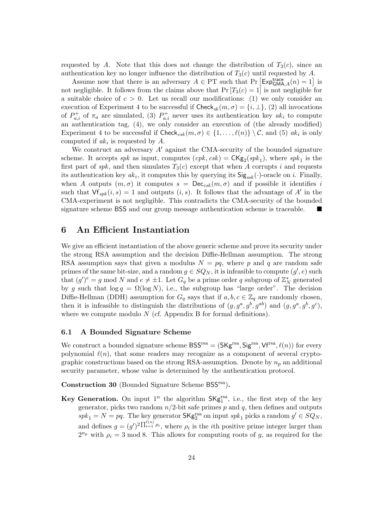requested by A. Note that this does not change the distribution of  $T_3(c)$ , since an authentication key no longer influence the distribution of  $T_3(c)$  until requested by A.

Assume now that there is an adversary  $A \in PT$  such that  $Pr\left[\text{Exp}^{\text{trace}}_{\text{GMA},A}(n) = 1\right]$  is not negligible. It follows from the claims above that  $Pr[T_3(c) = 1]$  is not negligible for a suitable choice of  $c > 0$ . Let us recall our modifications: (1) we only consider an execution of Experiment 4 to be successful if  $\text{Check}_{sk}(m, \sigma) = \{i, \perp\}, (2)$  all invocations of  $P_{a,i}^+$  of  $\pi_a$  are simulated, (3)  $P_{a,i}^+$  never uses its authentication key  $ak_i$  to compute an authentication tag, (4), we only consider an execution of (the already modified) Experiment 4 to be successful if  $\mathsf{Check}_{csk}(m, \sigma) \in \{1, ..., \ell(n)\} \setminus \mathcal{C}$ , and (5)  $ak_i$  is only computed if  $ak_i$  is requested by A.

We construct an adversary  $A'$  against the CMA-security of the bounded signature scheme. It accepts spk as input, computes  $(cpk, csk) = CKg_2(spk_1)$ , where  $spk_1$  is the first part of spk, and then simulates  $T_3(c)$  except that when A corrupts i and requests its authentication key  $ak_i$ , it computes this by querying its  $\text{Sig}_{ssk}(\cdot)$ -oracle on i. Finally, when A outputs  $(m, \sigma)$  it computes  $s = \text{Dec}_{csk}(m, \sigma)$  and if possible it identifies i such that  $\mathsf{Vf}_{spk}(i, s) = 1$  and outputs  $(i, s)$ . It follows that the advantage of A' in the CMA-experiment is not negligible. This contradicts the CMA-security of the bounded signature scheme BSS and our group message authentication scheme is traceable.

# 6 An Efficient Instantiation

We give an efficient instantiation of the above generic scheme and prove its security under the strong RSA assumption and the decision Diffie-Hellman assumption. The strong RSA assumption says that given a modulus  $N = pq$ , where p and q are random safe primes of the same bit-size, and a random  $g \in SQ_N$ , it is infeasible to compute  $(g',e)$  such that  $(g')^e = g \mod N$  and  $e \neq \pm 1$ . Let  $G_q$  be a prime order q subgroup of  $\mathbb{Z}_N^*$  generated by g such that  $\log q = \Omega(\log N)$ , i.e., the subgroup has "large order". The decision Diffie-Hellman (DDH) assumption for  $G_q$  says that if  $a, b, c \in \mathbb{Z}_q$  are randomly chosen, then it is infeasible to distinguish the distributions of  $(g, g^a, g^b, g^{ab})$  and  $(g, g^a, g^b, g^c)$ , where we compute modulo  $N$  (cf. Appendix B for formal definitions).

## 6.1 A Bounded Signature Scheme

We construct a bounded signature scheme  $BSS^{rsa} = (SKg^{rsa}, Sig^{rsa}, Vf^{rsa}, \ell(n))$  for every polynomial  $\ell(n)$ , that some readers may recognize as a component of several cryptographic constructions based on the strong RSA-assumption. Denote by  $n_p$  an additional security parameter, whose value is determined by the authentication protocol.

Construction 30 (Bounded Signature Scheme BSSrsa).

**Key Generation.** On input  $1^n$  the algorithm  $SKg_1^{rsa}$ , i.e., the first step of the key generator, picks two random  $n/2$ -bit safe primes p and q, then defines and outputs  $spk_1 = N = pq$ . The key generator  $\mathsf{SKg}_2^{\text{rsa}}$  on input  $spk_1$  picks a random  $g' \in SQ_N$ , and defines  $g = (g')^{2} \prod_{i=1}^{\ell(n)} \rho_i$ , where  $\rho_i$  is the *i*th positive prime integer larger than  $2^{n_p}$  with  $\rho_i = 3 \text{ mod } 8$ . This allows for computing roots of g, as required for the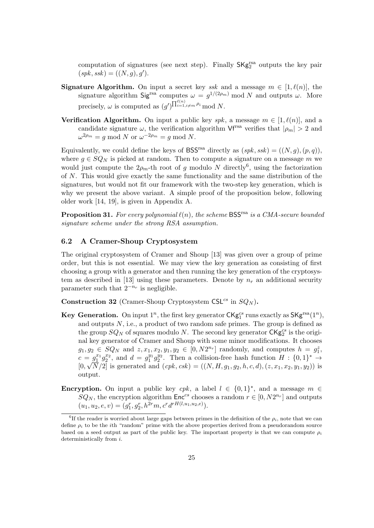computation of signatures (see next step). Finally  $\mathsf{SKg}^{\text{rsa}}_2$  outputs the key pair  $(spk, ssk) = ((N, g), g').$ 

- **Signature Algorithm.** On input a secret key ssk and a message  $m \in [1, \ell(n)]$ , the signature algorithm Sig<sup>rsa</sup> computes  $\omega = g^{1/(2\rho_m)}$  mod N and outputs  $\omega$ . More precisely,  $\omega$  is computed as  $(g')^{\prod_{i=1,i\neq m}^{\ell(n)}}$  mod N.
- **Verification Algorithm.** On input a public key spk, a message  $m \in [1, \ell(n)]$ , and a candidate signature  $\omega$ , the verification algorithm Vf<sup>rsa</sup> verifies that  $|\rho_m| > 2$  and  $\omega^{2\rho_m} = g \mod N$  or  $\omega^{-2\rho_m} = g \mod N$ .

Equivalently, we could define the keys of BSS<sup>rsa</sup> directly as  $(spk, ssk) = ((N, g), (p, q)),$ where  $g \in SQ_N$  is picked at random. Then to compute a signature on a message m we would just compute the  $2\rho_m$ -th root of g modulo N directly<sup>6</sup>, using the factorization of N. This would give exactly the same functionality and the same distribution of the signatures, but would not fit our framework with the two-step key generation, which is why we present the above variant. A simple proof of the proposition below, following older work [14, 19], is given in Appendix A.

**Proposition 31.** For every polynomial  $\ell(n)$ , the scheme BSS<sup>rsa</sup> is a CMA-secure bounded signature scheme under the strong RSA assumption.

## 6.2 A Cramer-Shoup Cryptosystem

The original cryptosystem of Cramer and Shoup [13] was given over a group of prime order, but this is not essential. We may view the key generation as consisting of first choosing a group with a generator and then running the key generation of the cryptosystem as described in [13] using these parameters. Denote by  $n_r$  an additional security parameter such that  $2^{-n_r}$  is negligible.

Construction 32 (Cramer-Shoup Cryptosystem CSL<sup>cs</sup> in  $SQ_N$ ).

- **Key Generation.** On input  $1^n$ , the first key generator  $\mathsf{CKg}_1^{cs}$  runs exactly as  $\mathsf{SKg}^{\text{rsa}}(1^n)$ , and outputs  $N$ , i.e., a product of two random safe primes. The group is defined as the group  $SQ_N$  of squares modulo N. The second key generator  $\mathsf{CKg}_2^{cs}$  is the original key generator of Cramer and Shoup with some minor modifications. It chooses  $g_1, g_2 \in SQ_N$  and  $z, x_1, x_2, y_1, y_2 \in [0, N2^{n_r}]$  randomly, and computes  $h = g_1^z$ ,  $c = g_1^{x_1} g_2^{x_2}$ , and  $d = g_1^{y_1} g_2^{y_2}$ . Then a collision-free hash function  $H : \{0,1\}^* \rightarrow$  $[0, \sqrt{N/2}]$  is generated and  $(cpk, csk) = ((N, H, g_1, g_2, h, c, d), (z, x_1, x_2, y_1, y_2))$  is output.
- **Encryption.** On input a public key cpk, a label  $l \in \{0,1\}^*$ , and a message  $m \in$  $SQ_N$ , the encryption algorithm  $\mathsf{Enc}^{cs}$  chooses a random  $r \in [0, N2^{n_r}]$  and outputs  $(u_1, u_2, e, v) = (g_1^r, g_2^r, h^{2r}m, c^r d^{rH(l, u_1, u_2, e)}).$

<sup>&</sup>lt;sup>6</sup>If the reader is worried about large gaps between primes in the definition of the  $\rho_i$ , note that we can define  $\rho_i$  to be the *i*th "random" prime with the above properties derived from a pseudorandom source based on a seed output as part of the public key. The important property is that we can compute  $\rho_i$ deterministically from i.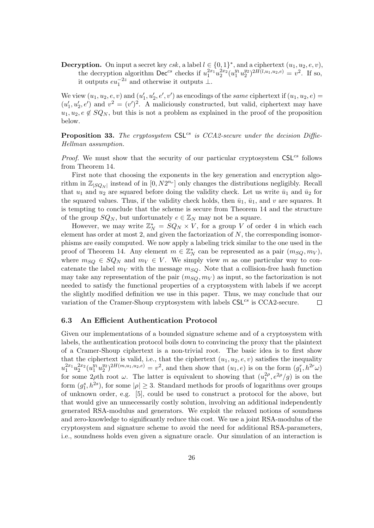**Decryption.** On input a secret key  $csk$ , a label  $l \in \{0, 1\}^*$ , and a ciphertext  $(u_1, u_2, e, v)$ , the decryption algorithm Dec<sup>cs</sup> checks if  $u_1^{2x_1} u_2^{2x_2} (u_1^{y_1} u_2^{y_2})^{2H(l, u_1, u_2, e)} = v^2$ . If so, it outputs  $eu_1^{-2z}$  and otherwise it outputs  $\overline{\perp}$ .

We view  $(u_1, u_2, e, v)$  and  $(u'_1, u'_2, e', v')$  as encodings of the same ciphertext if  $(u_1, u_2, e)$  =  $(u'_1, u'_2, e')$  and  $v^2 = (v')^2$ . A maliciously constructed, but valid, ciphertext may have  $u_1, u_2, e \notin SQ_N$ , but this is not a problem as explained in the proof of the proposition below.

**Proposition 33.** The cryptosystem  $\text{CSL}^{cs}$  is  $\text{CCA}$  2-secure under the decision Diffie-Hellman assumption.

*Proof.* We must show that the security of our particular cryptosystem  $CSL^{cs}$  follows from Theorem 14.

First note that choosing the exponents in the key generation and encryption algorithm in  $\mathbb{Z}_{|SQ_N|}$  instead of in  $[0, N2^{n_r}]$  only changes the distributions negligibly. Recall that  $u_1$  and  $u_2$  are squared before doing the validity check. Let us write  $\bar{u}_1$  and  $\bar{u}_2$  for the squared values. Thus, if the validity check holds, then  $\bar{u}_1$ ,  $\bar{u}_1$ , and v are squares. It is tempting to conclude that the scheme is secure from Theorem 14 and the structure of the group  $SQ_N$ , but unfortunately  $e \in \mathbb{Z}_N$  may not be a square.

However, we may write  $\mathbb{Z}_N^* = SQ_N \times V$ , for a group V of order 4 in which each element has order at most 2, and given the factorization of  $N$ , the corresponding isomorphisms are easily computed. We now apply a labeling trick similar to the one used in the proof of Theorem 14. Any element  $m \in \mathbb{Z}_N^*$  can be represented as a pair  $(m_{SQ}, m_V)$ , where  $m_{SQ} \in SQ_N$  and  $m_V \in V$ . We simply view m as one particular way to concatenate the label  $m_V$  with the message  $m_{SO}$ . Note that a collision-free hash function may take any representation of the pair  $(m_{SQ}, m_V)$  as input, so the factorization is not needed to satisfy the functional properties of a cryptosystem with labels if we accept the slightly modified definition we use in this paper. Thus, we may conclude that our variation of the Cramer-Shoup cryptosystem with labels  $CSL<sup>cs</sup>$  is CCA2-secure.  $\Box$ 

## 6.3 An Efficient Authentication Protocol

Given our implementations of a bounded signature scheme and of a cryptosystem with labels, the authentication protocol boils down to convincing the proxy that the plaintext of a Cramer-Shoup ciphertext is a non-trivial root. The basic idea is to first show that the ciphertext is valid, i.e., that the ciphertext  $(u_1, u_2, e, v)$  satisfies the inequality  $u_1^{2x_1}u_2^{2x_2}(u_1^{\bar{y}_1}u_2^{y_2})^{2H(m,u_1,u_2,e)}=v^2$ , and then show that  $(u_1,e)$  is on the form  $(g_1^r,h^{2r}\omega)$ for some 2pth root  $\omega$ . The latter is equivalent to showing that  $(u_1^{2\rho})$  $t_1^{2\rho}, e^{2\rho}/g$  is on the form  $(g_1^s, h^{2s})$ , for some  $|\rho| \geq 3$ . Standard methods for proofs of logarithms over groups of unknown order, e.g. [5], could be used to construct a protocol for the above, but that would give an unnecessarily costly solution, involving an additional independently generated RSA-modulus and generators. We exploit the relaxed notions of soundness and zero-knowledge to significantly reduce this cost. We use a joint RSA-modulus of the cryptosystem and signature scheme to avoid the need for additional RSA-parameters, i.e., soundness holds even given a signature oracle. Our simulation of an interaction is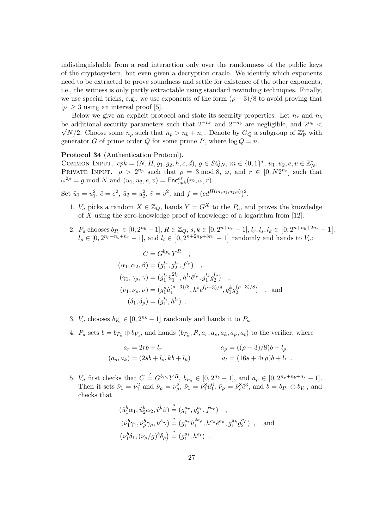indistinguishable from a real interaction only over the randomness of the public keys of the cryptosystem, but even given a decryption oracle. We identify which exponents need to be extracted to prove soundness and settle for existence of the other exponents, i.e., the witness is only partly extractable using standard rewinding techniques. Finally, we use special tricks, e.g., we use exponents of the form  $(\rho - 3)/8$  to avoid proving that  $|\rho| > 3$  using an interval proof [5].

Below we give an explicit protocol and state its security properties. Let  $n_r$  and  $n_b$ be additional security parameters such that  $2^{-n_r}$  and  $2^{-n_b}$  are negligible, and  $2^{n_b}$  $\overline{N}/2$ . Choose some  $n_p$  such that  $n_p > n_b + n_r$ . Denote by  $G_Q$  a subgroup of  $\mathbb{Z}_P^*$  with generator G of prime order Q for some prime P, where  $\log Q = n$ .

## Protocol 34 (Authentication Protocol).

COMMON INPUT.  $cpk = (N, H, g_1, g_2, h, c, d), g \in SQ_N, m \in \{0, 1\}^*, u_1, u_2, e, v \in \mathbb{Z}_N^*$ . PRIVATE INPUT.  $\rho > 2^{n_p}$  such that  $\rho = 3 \mod 8$ ,  $\omega$ , and  $r \in [0, N2^{n_r}]$  such that  $\omega^{2\rho} = g \mod N$  and  $(u_1, u_2, e, v) = \textsf{Enc}_{cpk}^{cs}(m, \omega, r)$ .

Set  $\hat{u}_1 = u_1^2$ ,  $\hat{e} = e^2$ ,  $\hat{u}_2 = u_2^2$ ,  $\hat{v} = v^2$ , and  $f = (cd^{H(m, u_1, u_2, e)})^2$ .

- 1.  $V_a$  picks a random  $X \in \mathbb{Z}_Q$ , hands  $Y = G^X$  to the  $P_a$ , and proves the knowledge of  $X$  using the zero-knowledge proof of knowledge of a logarithm from [12].
- 2.  $P_a$  chooses  $b_{P_a} \in [0, 2^{n_b} 1], R \in \mathbb{Z}_Q, s, k \in [0, 2^{n+n_r} 1], l_r, l_s, l_k \in [0, 2^{n+n_b+2n_r} 1],$  $l_{\rho} \in [0, 2^{n_p+n_b+n_r}-1]$ , and  $l_t \in [0, 2^{n+2n_b+3n_r}-1]$  randomly and hands to  $V_a$ :

$$
C = G^{b_{P_a}} Y^R ,
$$
  
\n
$$
(\alpha_1, \alpha_2, \beta) = (g_1^{l_r}, g_2^{l_r}, f^{l_r}) ,
$$
  
\n
$$
(\gamma_1, \gamma_\rho, \gamma) = (g_1^{l_s} \hat{u}_1^{2l_\rho}, h^{l_s} \hat{e}^{l_\rho}, g_1^{l_k} g_2^{l_\rho}) ,
$$
  
\n
$$
(\nu_1, \nu_\rho, \nu) = (g_1^s \hat{u}_1^{(\rho-3)/8}, h^s e^{(\rho-3)/8}, g_1^k g_2^{(\rho-3)/8}) ,
$$
 and  
\n
$$
(\delta_1, \delta_\rho) = (g_1^{l_t}, h^{l_t}) .
$$

- 3.  $V_a$  chooses  $b_{V_a} \in [0, 2^{n_b} 1]$  randomly and hands it to  $P_a$ .
- 4.  $P_a$  sets  $b = b_{P_a} \oplus b_{V_a}$ , and hands  $(b_{P_a}, R, a_r, a_s, a_k, a_\rho, a_t)$  to the verifier, where

$$
a_r = 2rb + l_r
$$
  
\n
$$
(a_s, a_k) = (2sb + l_s, kb + l_k)
$$
  
\n
$$
a_\rho = ((\rho - 3)/8)b + l_\rho
$$
  
\n
$$
a_t = (16s + 4r\rho)b + l_t
$$

5.  $V_a$  first checks that  $C \stackrel{?}{=} G^{b_{P_a}} Y^R$ ,  $b_{P_a} \in [0, 2^{n_b} - 1]$ , and  $a_{\rho} \in [0, 2^{n_p + n_b + n_r} - 1]$ . Then it sets  $\hat{\nu}_1 = \nu_1^2$  and  $\hat{\nu}_\rho = \nu_\rho^2$ ,  $\tilde{\nu}_1 = \hat{\nu}_1^8 \hat{u}_1^6$ ,  $\tilde{\nu}_\rho = \hat{\nu}_\rho^8 \hat{e}^3$ , and  $b = b_{P_a} \oplus b_{V_a}$ , and checks that

$$
(\hat{u}_1^b \alpha_1, \hat{u}_2^b \alpha_2, \hat{v}^b \beta) \stackrel{?}{=} (g_1^{a_r}, g_2^{a_r}, f^{a_r}) ,
$$
  
\n
$$
(\hat{\nu}_1^b \gamma_1, \hat{\nu}_\rho^b \gamma_\rho, \nu^b \gamma) \stackrel{?}{=} (g_1^{a_s} \hat{u}_1^{2a_\rho}, h^{a_s} \hat{e}^{a_\rho}, g_1^{a_k} g_2^{a_\rho}) ,
$$
 and  
\n
$$
(\tilde{\nu}_1^b \delta_1, (\tilde{\nu}_\rho/g)^b \delta_\rho) \stackrel{?}{=} (g_1^{a_t}, h^{a_t}) .
$$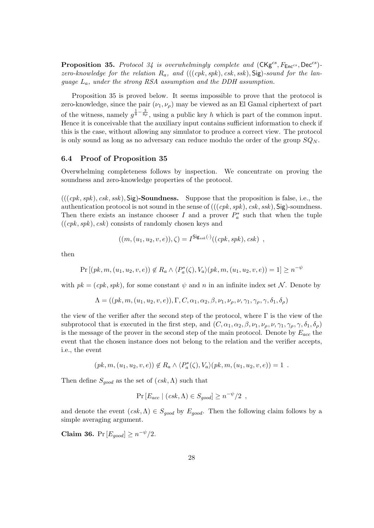**Proposition 35.** Protocol 34 is overwhelmingly complete and  $(CKg^{cs}, F_{Enc^{cs}}, Dec^{cs})$ zero-knowledge for the relation  $R_a$ , and  $(((cpk, spk), csk, ssk),$  Sig)-sound for the language  $L_a$ , under the strong RSA assumption and the DDH assumption.

Proposition 35 is proved below. It seems impossible to prove that the protocol is zero-knowledge, since the pair  $(\nu_1, \nu_\rho)$  may be viewed as an El Gamal ciphertext of part of the witness, namely  $g^{\frac{1}{8} - \frac{3}{8\rho}}$ , using a public key h which is part of the common input. Hence it is conceivable that the auxiliary input contains sufficient information to check if this is the case, without allowing any simulator to produce a correct view. The protocol is only sound as long as no adversary can reduce modulo the order of the group  $SQ_N$ .

## 6.4 Proof of Proposition 35

Overwhelming completeness follows by inspection. We concentrate on proving the soundness and zero-knowledge properties of the protocol.

 $(((cpk, spk), csk, ssk),$  Sig)-Soundness. Suppose that the proposition is false, i.e., the authentication protocol is not sound in the sense of  $(((cpk, spk), csk, ssk), Sig)$ -soundness. Then there exists an instance chooser I and a prover  $P_a^*$  such that when the tuple  $((cpk, spk), csk)$  consists of randomly chosen keys and

$$
((m,(u_1,u_2,v,e)),\zeta) = I^{\mathsf{Sig}_{ssk}(\cdot)}((cpk,spk),csk) ,
$$

then

$$
Pr[(pk, m, (u_1, u_2, v, e)) \notin R_a \land \langle P_a^*(\zeta), V_a \rangle (pk, m, (u_1, u_2, v, e)) = 1] \ge n^{-\psi}
$$

with  $pk = (cpk, spk)$ , for some constant  $\psi$  and n in an infinite index set N. Denote by

$$
\Lambda = ((pk, m, (u_1, u_2, v, e)), \Gamma, C, \alpha_1, \alpha_2, \beta, \nu_1, \nu_\rho, \nu, \gamma_1, \gamma_\rho, \gamma, \delta_1, \delta_\rho)
$$

the view of the verifier after the second step of the protocol, where  $\Gamma$  is the view of the subprotocol that is executed in the first step, and  $(C, \alpha_1, \alpha_2, \beta, \nu_1, \nu_\rho, \nu, \gamma_1, \gamma_\rho, \gamma, \delta_1, \delta_\rho)$ is the message of the prover in the second step of the main protocol. Denote by  $E_{acc}$  the event that the chosen instance does not belong to the relation and the verifier accepts, i.e., the event

$$
(pk, m, (u_1, u_2, v, e)) \notin R_a \wedge \langle P_a^*(\zeta), V_a \rangle (pk, m, (u_1, u_2, v, e)) = 1.
$$

Then define  $S_{good}$  as the set of  $(csk, \Lambda)$  such that

$$
Pr[E_{acc} | (csk, \Lambda) \in S_{good}] \ge n^{-\psi}/2 ,
$$

and denote the event  $(csk, \Lambda) \in S_{good}$  by  $E_{good}$ . Then the following claim follows by a simple averaging argument.

Claim 36. Pr  $[E_{good}] \ge n^{-\psi}/2$ .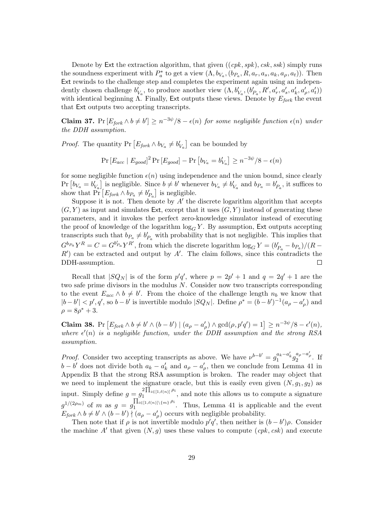Denote by Ext the extraction algorithm, that given  $((cpk, spk), csk, ssk)$  simply runs the soundness experiment with  $P_a^*$  to get a view  $(\Lambda, b_{V_a}, (b_{P_a}, R, a_r, a_s, a_k, a_\rho, a_t))$ . Then Ext rewinds to the challenge step and completes the experiment again using an independently chosen challenge  $b'_{V_a}$ , to produce another view  $(\Lambda, b'_{V_a}, (b'_{P_a}, R', a'_r, a'_s, a'_k, a'_\rho, a'_t))$ with identical beginning  $\Lambda$ . Finally, Ext outputs these views. Denote by  $E_{fork}$  the event that Ext outputs two accepting transcripts.

**Claim 37.** Pr  $[E_{fork} \wedge b \neq b'] \geq n^{-3\psi}/8 - \epsilon(n)$  for some negligible function  $\epsilon(n)$  under the DDH assumption.

*Proof.* The quantity Pr  $\left[ E_{fork} \wedge b_{V_a} \neq b'_{V_a} \right]$  can be bounded by

$$
\Pr\left[E_{acc} \mid E_{good}\right]^2 \Pr\left[E_{good}\right] - \Pr\left[b_{V_a} = b'_{V_a}\right] \ge n^{-3\psi}/8 - \epsilon(n)
$$

for some negligible function  $\epsilon(n)$  using independence and the union bound, since clearly  $\Pr [b_{V_a} = b'_{V_a}]$  is negligible. Since  $b \neq b'$  whenever  $b_{V_a} \neq b'_{V_a}$  and  $b_{P_a} = b'_{P_a}$ , it suffices to show that  $Pr\left[E_{fork} \wedge b_{P_a} \neq b'_{P_a}\right]$  is negligible.

Suppose it is not. Then denote by  $A'$  the discrete logarithm algorithm that accepts  $(G, Y)$  as input and simulates Ext, except that it uses  $(G, Y)$  instead of generating these parameters, and it invokes the perfect zero-knowledge simulator instead of executing the proof of knowledge of the logarithm  $\log_G Y$ . By assumption, Ext outputs accepting transcripts such that  $b_{P_a} \neq b'_{P_a}$  with probability that is not negligible. This implies that  $G^{b_{P_a}}Y^R = C = G^{b'_{P_a}}Y^{R'}$ , from which the discrete logarithm  $\log_G Y = (b'_{P_a} - b_{P_a})/(R R'$ ) can be extracted and output by  $A'$ . The claim follows, since this contradicts the DDH-assumption.  $\Box$ 

Recall that  $|SQ_N|$  is of the form  $p'q'$ , where  $p = 2p' + 1$  and  $q = 2q' + 1$  are the two safe prime divisors in the modulus  $N$ . Consider now two transcripts corresponding to the event  $E_{acc} \wedge b \neq b'$ . From the choice of the challenge length  $n_b$  we know that  $|b-b'| < p', q',$  so  $b-b'$  is invertible modulo  $|SQ_N|$ . Define  $\rho^* = (b-b')^{-1}(a_\rho - a'_\rho)$  and  $\rho = 8\rho^* + 3.$ 

**Claim 38.** Pr  $\left[ E_{fork} \wedge b \neq b' \wedge (b - b') \mid (a_{\rho} - a'_{\rho}) \wedge \text{gcd}(\rho, p'q') = 1 \right] \geq n^{-3\psi}/8 - \epsilon'(n)$ , where  $\epsilon'(n)$  is a negligible function, under the DDH assumption and the strong RSA assumption.

*Proof.* Consider two accepting transcripts as above. We have  $\nu^{b-b'} = g_1^{a_k - a'_k} g_2^{a_\rho - a'_\rho}$ . If  $b - b'$  does not divide both  $a_k - a'_k$  and  $a_\rho - a'_\rho$ , then we conclude from Lemma 41 in Appendix B that the strong RSA assumption is broken. The reader may object that we need to implement the signature oracle, but this is easily even given  $(N, q_1, q_2)$  as input. Simply define  $g = g_1^{2 \prod_{i \in [1,\ell(n)]} \rho_i}$  $\int_{1}^{\text{I}} \ln \left( |u| \right)^{pt}$ , and note this allows us to compute a signature  $g^{1/(2\rho_m)}$  of  $m$  as  $g\,=\,g_1^{\prod_{i\in [1,\ell(n)]\backslash\{m\}}\rho_i}$  $\prod_{1}^{1}$   $\prod_{i\in[1,\ell(n)]\setminus\{m\}}$ <sup> $\ell^n$ </sup>. Thus, Lemma 41 is applicable and the event  $E_{fork} \wedge b \neq b' \wedge (b - b') \nmid (a_{\rho} - a'_{\rho})$  occurs with negligible probability.

Then note that if  $\rho$  is not invertible modulo  $p'q'$ , then neither is  $(b - b')\rho$ . Consider the machine A' that given  $(N, g)$  uses these values to compute  $(cpk, csk)$  and execute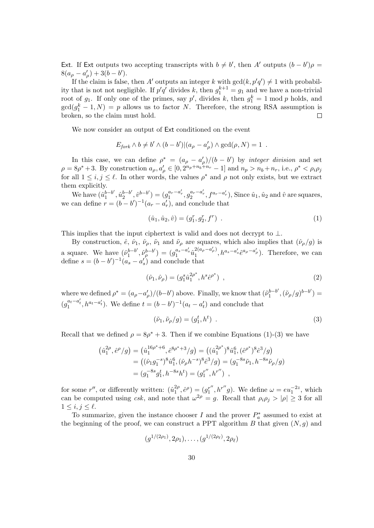Ext. If Ext outputs two accepting transcripts with  $b \neq b'$ , then A' outputs  $(b - b')\rho =$  $8(a_{\rho} - a'_{\rho}) + 3(b - b').$ 

If the claim is false, then A' outputs an integer k with  $gcd(k, p'q') \neq 1$  with probability that is not not negligible. If  $p'q'$  divides k, then  $g_1^{k+1} = g_1$  and we have a non-trivial root of  $g_1$ . If only one of the primes, say  $p'$ , divides k, then  $g_1^k = 1 \mod p$  holds, and  $gcd(g_1^k - 1, N) = p$  allows us to factor N. Therefore, the strong RSA assumption is broken, so the claim must hold.  $\Box$ 

We now consider an output of Ext conditioned on the event

$$
E_{fork} \wedge b \neq b' \wedge (b - b')|(a_{\rho} - a'_{\rho}) \wedge \gcd(\rho, N) = 1.
$$

In this case, we can define  $\rho^* = (a_{\rho} - a'_{\rho})/(b - b')$  by *integer division* and set  $\rho = 8\rho^* + 3$ . By construction  $a_{\rho}, a'_{\rho} \in [0, 2^{n_p + n_b + n_r} - 1]$  and  $n_p > n_b + n_r$ , i.e.,  $\rho^* < \rho_i \rho_j$ for all  $1 \leq i, j \leq \ell$ . In other words, the values  $\rho^*$  and  $\rho$  not only exists, but we extract them explicitly.

We have  $(\hat{u}_1^{b-b'}$  $a_1^{b-b'}, \hat{u}_2^{b-b'}$  $(a_2^{(b-b')}, \hat{v}^{b-b'}) = (g_1^{a_r-a'_r}, g_2^{a_r-a'_r}, f^{a_r-a'_r}),$  Since  $\hat{u}_1, \hat{u}_2$  and  $\hat{v}$  are squares, we can define  $r = (b - b')^{-1}(a_r - a'_r)$ , and conclude that

$$
(\hat{u}_1, \hat{u}_2, \hat{v}) = (g_1^r, g_2^r, f^r) \tag{1}
$$

This implies that the input ciphertext is valid and does not decrypt to  $\perp$ .

By construction,  $\hat{e}$ ,  $\hat{\nu}_1$ ,  $\hat{\nu}_\rho$ ,  $\tilde{\nu}_1$  and  $\tilde{\nu}_\rho$  are squares, which also implies that  $(\hat{\nu}_\rho/g)$  is a square. We have  $(\hat{\nu}_1^{b-b'} )$  $\left( \begin{smallmatrix} b-b' & b' \ 1 & 0 \end{smallmatrix} \right) = \left( g_1^{a_s-a'_s} \hat{u}_1^{2(a_\rho-a'_\rho)} \right)$  $a_1^{2(a_\rho-a'_\rho)}, h^{a_s-a'_s}\hat{e}^{a_\rho-a'_\rho}).$  Therefore, we can define  $s = (b - b')^{-1}(a_s - a'_s)$  and conclude that

$$
(\hat{\nu}_1, \hat{\nu}_\rho) = (g_1^s \hat{u}_1^{2\rho^*}, h^s \hat{e}^{\rho^*}) \quad , \tag{2}
$$

where we defined  $\rho^* = (a_{\rho} - a'_{\rho})/(b - b')$  above. Finally, we know that  $(\tilde{\nu}_1^{b-b'})$  $(\tilde{\nu}_{\rho}/g)^{b-b'}$ ) =  $(g_1^{a_t-a'_t}, h^{a_t-a'_t})$ . We define  $t = (b - b')^{-1}(a_t - a'_t)$  and conclude that

$$
(\tilde{\nu}_1, \tilde{\nu}_\rho/g) = (g_1^t, h^t) \tag{3}
$$

Recall that we defined  $\rho = 8\rho^* + 3$ . Then if we combine Equations (1)-(3) we have

$$
\begin{aligned}\n(\hat{u}_1^{2\rho}, \hat{e}^{\rho}/g) &= (\hat{u}_1^{16\rho^*+6}, \hat{e}^{8\rho^*+3}/g) = ((\hat{u}_1^{2\rho^*})^8 \hat{u}_1^6, (\hat{e}^{\rho^*})^8 \hat{e}^3/g) \\
&= ((\hat{\nu}_1 g_1^{-s})^8 \hat{u}_1^6, (\hat{\nu}_{\rho} h^{-s})^8 \hat{e}^3/g) = (g_1^{-8s} \tilde{\nu}_1, h^{-8s} \tilde{\nu}_{\rho}/g) \\
&= (g_1^{-8s} g_1^t, h^{-8s} h^t) = (g_1^{r''}, h^{r''})\n\end{aligned}
$$

for some r'', or differently written:  $(\hat{u}_1^{2\rho})$  $\binom{2\rho}{1}, \hat{e}^{\rho}$  =  $\left(g_1^{r''}\right)$  $f_1^{r''}, h^{r''}g$ ). We define  $\omega = e u_1^{-2z}$ , which can be computed using csk, and note that  $\omega^{2\rho} = g$ . Recall that  $\rho_i \rho_j > |\rho| \geq 3$  for all  $1 \leq i, j \leq \ell$ .

To summarize, given the instance chooser  $I$  and the prover  $P_a^*$  assumed to exist at the beginning of the proof, we can construct a PPT algorithm  $B$  that given  $(N, q)$  and

$$
(g^{1/(2\rho_1)}, 2\rho_1), \ldots, (g^{1/(2\rho_\ell)}, 2\rho_\ell)
$$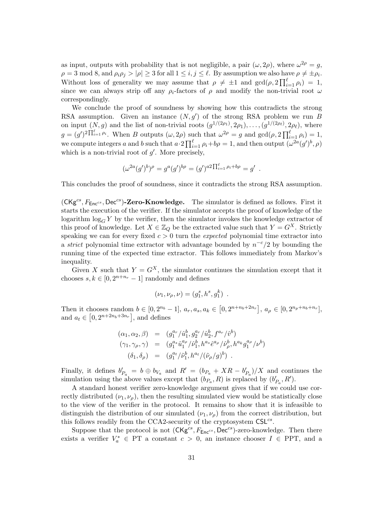as input, outputs with probability that is not negligible, a pair  $(\omega, 2\rho)$ , where  $\omega^{2\rho} = g$ ,  $\rho = 3 \text{ mod } 8$ , and  $\rho_i \rho_j > |\rho| \ge 3$  for all  $1 \le i, j \le \ell$ . By assumption we also have  $\rho \neq \pm \rho_i$ . Without loss of generality we may assume that  $\rho \neq \pm 1$  and  $\gcd(\rho, 2) \prod_{i=1}^{\ell} \rho_i = 1$ , since we can always strip off any  $\rho_i$ -factors of  $\rho$  and modify the non-trivial root  $\omega$ correspondingly.

We conclude the proof of soundness by showing how this contradicts the strong RSA assumption. Given an instance  $(N, g')$  of the strong RSA problem we run B on input  $(N, g)$  and the list of non-trivial roots  $(g^{1/(2\rho_1)}, 2\rho_1), \ldots, (g^{1/(2\rho_\ell)}, 2\rho_\ell)$ , where  $g = (g')^2 \prod_{i=1}^{\ell} \rho_i$ . When B outputs  $(\omega, 2\rho)$  such that  $\omega^{2\rho} = g$  and  $gcd(\rho, 2) \prod_{i=1}^{\ell} \rho_i) = 1$ , we compute integers a and b such that  $a \cdot 2 \prod_{i=1}^{\ell} \rho_i + b\rho = 1$ , and then output  $(\omega^{2a}(g')^b, \rho)$ which is a non-trivial root of  $g'$ . More precisely,

$$
(\omega^{2a}(g')^b)^\rho = g^a(g')^{b\rho} = (g')^{a2} \Pi_{i=1}^\ell \rho_i + b\rho = g'.
$$

This concludes the proof of soundness, since it contradicts the strong RSA assumption.

 $(CKg^{cs}, F_{Enc^{cs}}, Dec^{cs})$ -Zero-Knowledge. The simulator is defined as follows. First it starts the execution of the verifier. If the simulator accepts the proof of knowledge of the logarithm  $\log_G Y$  by the verifier, then the simulator invokes the knowledge extractor of this proof of knowledge. Let  $X \in \mathbb{Z}_Q$  be the extracted value such that  $Y = G^X$ . Strictly speaking we can for every fixed  $c > 0$  turn the *expected* polynomial time extractor into a *strict* polynomial time extractor with advantage bounded by  $n^{-c}/2$  by bounding the running time of the expected time extractor. This follows immediately from Markov's inequality.

Given X such that  $Y = G^X$ , the simulator continues the simulation except that it chooses  $s, k \in [0, 2^{n+n_r} - 1]$  randomly and defines

$$
(\nu_1, \nu_\rho, \nu) = (g_1^s, h^s, g_1^k) .
$$

Then it chooses random  $b \in [0, 2^{n_b} - 1]$ ,  $a_r, a_s, a_k \in [0, 2^{n + n_b + 2n_r}]$ ,  $a_\rho \in [0, 2^{n_p + n_b + n_r}]$ , and  $a_t \in [0, 2^{n+2n_b+3n_r}]$ , and defines

$$
(\alpha_1, \alpha_2, \beta) = (g_1^{a_r}/\hat{u}_1^b, g_2^{a_r}/\hat{u}_2^b, f^{a_r}/\hat{v}^b) \n(\gamma_1, \gamma_\rho, \gamma) = (g_1^{a_s} \hat{u}_1^{a_\rho}/\hat{\nu}_1^b, h^{a_s} \hat{e}^{a_\rho}/\hat{\nu}_\rho^b, h^{a_k} g_1^{a_\rho}/\nu^b) \n(\delta_1, \delta_\rho) = (g_1^{a_t}/\tilde{\nu}_1^b, h^{a_t}/(\tilde{\nu}_\rho/g)^b).
$$

Finally, it defines  $b'_{P_a} = b \oplus b_{V_a}$  and  $R' = (b_{P_a} + XR - b'_{P_a})/X$  and continues the simulation using the above values except that  $(b_{P_a}, R)$  is replaced by  $(b'_{P_a}, R')$ .

A standard honest verifier zero-knowledge argument gives that if we could use correctly distributed  $(\nu_1, \nu_0)$ , then the resulting simulated view would be statistically close to the view of the verifier in the protocol. It remains to show that it is infeasible to distinguish the distribution of our simulated  $(\nu_1, \nu_\rho)$  from the correct distribution, but this follows readily from the CCA2-security of the cryptosystem  $CSL^{cs}$ .

Suppose that the protocol is not  $(\mathsf{CKg}^{cs}, F_{\mathsf{Enc}^{cs}}, \mathsf{Dec}^{cs})$ -zero-knowledge. Then there exists a verifier  $V_a^* \in PT$  a constant  $c > 0$ , an instance chooser  $I \in PPT$ , and a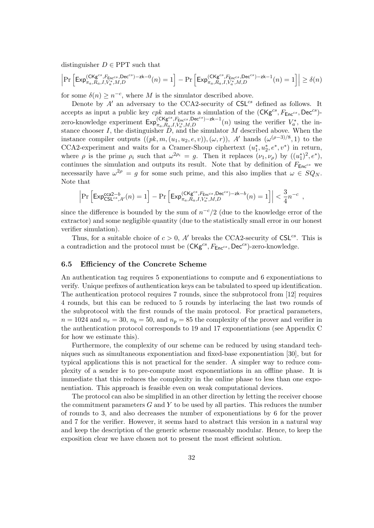distinguisher  $D \in \text{PPT}$  such that

$$
\left|\Pr\left[\text{Exp}_{\pi_a,R_a,I,V_a^*,M,D}^{\text{CKg}^{cs},F_{\text{Enc}^{cs}},\text{Dec}^{cs})-\text{zk}-0}(n)=1\right]-\Pr\left[\text{Exp}_{\pi_a,R_a,I,V_a^*,M,D}^{\text{CKg}^{cs},F_{\text{Enc}^{cs}},\text{Dec}^{cs})-\text{zk}-1}(n)=1\right]\right|\geq \delta(n)
$$

for some  $\delta(n) \geq n^{-c}$ , where M is the simulator described above.

Denote by  $A'$  an adversary to the CCA2-security of  $CSL^{cs}$  defined as follows. It accepts as input a public key  $cpk$  and starts a simulation of the  $(\mathsf{CKg}^{cs}, F_{\mathsf{Enc}^{cs}}, \mathsf{Dec}^{cs})$ zero-knowledge experiment  $Exp_{\pi_a, R_a, I, V_a^*, M, D}^{(CKg^{cs}, F_{\text{Enc}^{cs}}, \text{Dec}^{cs}) - \text{zk}-1}(n)$  using the verifier  $V_a^*$ , the instance chooser I, the distinguisher  $D$ , and the simulator M described above. When the instance compiler outputs  $((pk, m, (u_1, u_2, e, v)), (\omega, r)), A'$  hands  $(\omega^{(\rho-3)/8}, 1)$  to the CCA2-experiment and waits for a Cramer-Shoup ciphertext  $(u_1^*, u_2^*, e^*, v^*)$  in return, where  $\rho$  is the prime  $\rho_i$  such that  $\omega^{2\rho_i} = g$ . Then it replaces  $(\nu_1, \nu_\rho)$  by  $((u_1^*)^2, e^*)$ , continues the simulation and outputs its result. Note that by definition of  $F_{Enc^{cs}}$  we necessarily have  $\omega^{2\rho} = g$  for some such prime, and this also implies that  $\omega \in SQ_N$ . Note that

$$
\left|\Pr\left[\text{Exp}_{\text{CSL}^{cs},A'}^{\text{cca2}-b}(n)=1\right]-\Pr\left[\text{Exp}_{\pi_a,R_a,I,V_a^*,M,D}^{\text{(CKg}^{cs},F_{\text{Enc}^{cs}},\text{Dec}^{cs})-\text{zk}-b}(n)=1\right]\right|<\frac{3}{4}n^{-c} \enspace,
$$

since the difference is bounded by the sum of  $n^{-c}/2$  (due to the knowledge error of the extractor) and some negligible quantity (due to the statistically small error in our honest verifier simulation).

Thus, for a suitable choice of  $c > 0$ , A' breaks the CCA2-security of CSL<sup>cs</sup>. This is a contradiction and the protocol must be  $(\mathsf{CKg}^{cs}, F_{\mathsf{Enc}^{cs}}, \mathsf{Dec}^{cs})$ -zero-knowledge.

#### 6.5 Efficiency of the Concrete Scheme

An authentication tag requires 5 exponentiations to compute and 6 exponentiations to verify. Unique prefixes of authentication keys can be tabulated to speed up identification. The authentication protocol requires 7 rounds, since the subprotocol from [12] requires 4 rounds, but this can be reduced to 5 rounds by interlacing the last two rounds of the subprotocol with the first rounds of the main protocol. For practical parameters,  $n = 1024$  and  $n_r = 30$ ,  $n_b = 50$ , and  $n_p = 85$  the complexity of the prover and verifier in the authentication protocol corresponds to 19 and 17 exponentiations (see Appendix C for how we estimate this).

Furthermore, the complexity of our scheme can be reduced by using standard techniques such as simultaneous exponentiation and fixed-base exponentiation [30], but for typical applications this is not practical for the sender. A simpler way to reduce complexity of a sender is to pre-compute most exponentiations in an offline phase. It is immediate that this reduces the complexity in the online phase to less than one exponentiation. This approach is feasible even on weak computational devices.

The protocol can also be simplified in an other direction by letting the receiver choose the commitment parameters  $G$  and  $Y$  to be used by all parties. This reduces the number of rounds to 3, and also decreases the number of exponentiations by 6 for the prover and 7 for the verifier. However, it seems hard to abstract this version in a natural way and keep the description of the generic scheme reasonably modular. Hence, to keep the exposition clear we have chosen not to present the most efficient solution.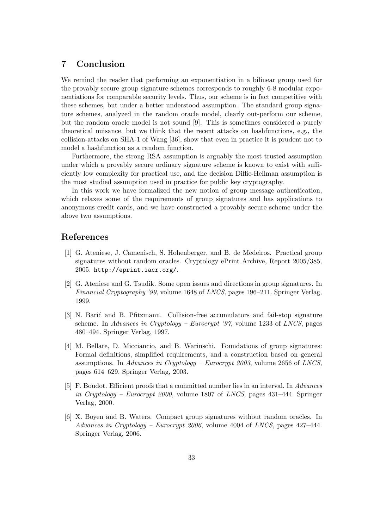# 7 Conclusion

We remind the reader that performing an exponentiation in a bilinear group used for the provably secure group signature schemes corresponds to roughly 6-8 modular exponentiations for comparable security levels. Thus, our scheme is in fact competitive with these schemes, but under a better understood assumption. The standard group signature schemes, analyzed in the random oracle model, clearly out-perform our scheme, but the random oracle model is not sound [9]. This is sometimes considered a purely theoretical nuisance, but we think that the recent attacks on hashfunctions, e.g., the collision-attacks on SHA-1 of Wang [36], show that even in practice it is prudent not to model a hashfunction as a random function.

Furthermore, the strong RSA assumption is arguably the most trusted assumption under which a provably secure ordinary signature scheme is known to exist with sufficiently low complexity for practical use, and the decision Diffie-Hellman assumption is the most studied assumption used in practice for public key cryptography.

In this work we have formalized the new notion of group message authentication, which relaxes some of the requirements of group signatures and has applications to anonymous credit cards, and we have constructed a provably secure scheme under the above two assumptions.

## References

- [1] G. Ateniese, J. Camenisch, S. Hohenberger, and B. de Medeiros. Practical group signatures without random oracles. Cryptology ePrint Archive, Report 2005/385, 2005. http://eprint.iacr.org/.
- [2] G. Ateniese and G. Tsudik. Some open issues and directions in group signatures. In Financial Cryptography '99, volume 1648 of LNCS, pages 196–211. Springer Verlag, 1999.
- [3] N. Barić and B. Pfitzmann. Collision-free accumulators and fail-stop signature scheme. In Advances in Cryptology – Eurocrypt '97, volume 1233 of LNCS, pages 480–494. Springer Verlag, 1997.
- [4] M. Bellare, D. Micciancio, and B. Warinschi. Foundations of group signatures: Formal definitions, simplified requirements, and a construction based on general assumptions. In Advances in Cryptology – Eurocrypt 2003, volume 2656 of LNCS, pages 614–629. Springer Verlag, 2003.
- [5] F. Boudot. Efficient proofs that a committed number lies in an interval. In Advances in Cryptology – Eurocrypt 2000, volume 1807 of LNCS, pages  $431-444$ . Springer Verlag, 2000.
- [6] X. Boyen and B. Waters. Compact group signatures without random oracles. In Advances in Cryptology – Eurocrypt 2006, volume 4004 of LNCS, pages 427–444. Springer Verlag, 2006.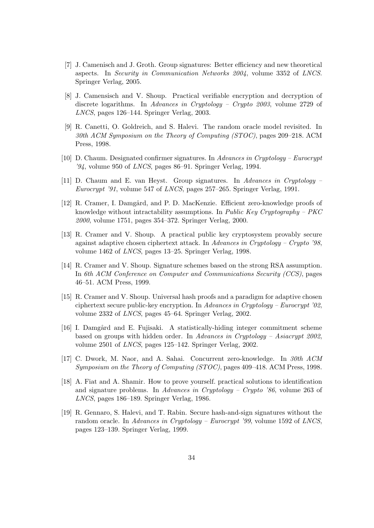- [7] J. Camenisch and J. Groth. Group signatures: Better efficiency and new theoretical aspects. In Security in Communication Networks 2004, volume 3352 of LNCS. Springer Verlag, 2005.
- [8] J. Camensisch and V. Shoup. Practical verifiable encryption and decryption of discrete logarithms. In Advances in Cryptology – Crypto 2003, volume 2729 of LNCS, pages 126–144. Springer Verlag, 2003.
- [9] R. Canetti, O. Goldreich, and S. Halevi. The random oracle model revisited. In 30th ACM Symposium on the Theory of Computing (STOC), pages 209–218. ACM Press, 1998.
- [10] D. Chaum. Designated confirmer signatures. In Advances in Cryptology Eurocrypt  $'94$ , volume 950 of *LNCS*, pages 86–91. Springer Verlag, 1994.
- [11] D. Chaum and E. van Heyst. Group signatures. In Advances in Cryptology Eurocrypt '91, volume 547 of LNCS, pages 257–265. Springer Verlag, 1991.
- [12] R. Cramer, I. Damgård, and P. D. MacKenzie. Efficient zero-knowledge proofs of knowledge without intractability assumptions. In Public Key Cryptography –  $PKC$ 2000, volume 1751, pages 354–372. Springer Verlag, 2000.
- [13] R. Cramer and V. Shoup. A practical public key cryptosystem provably secure against adaptive chosen ciphertext attack. In Advances in Cryptology – Crypto '98, volume 1462 of LNCS, pages 13–25. Springer Verlag, 1998.
- [14] R. Cramer and V. Shoup. Signature schemes based on the strong RSA assumption. In 6th ACM Conference on Computer and Communications Security (CCS), pages 46–51. ACM Press, 1999.
- [15] R. Cramer and V. Shoup. Universal hash proofs and a paradigm for adaptive chosen ciphertext secure public-key encryption. In Advances in Cryptology – Eurocrypt '02, volume 2332 of LNCS, pages 45–64. Springer Verlag, 2002.
- [16] I. Damgård and E. Fujisaki. A statistically-hiding integer commitment scheme based on groups with hidden order. In Advances in Cryptology – Asiacrypt 2002, volume 2501 of LNCS, pages 125–142. Springer Verlag, 2002.
- [17] C. Dwork, M. Naor, and A. Sahai. Concurrent zero-knowledge. In 30th ACM Symposium on the Theory of Computing (STOC), pages 409–418. ACM Press, 1998.
- [18] A. Fiat and A. Shamir. How to prove yourself. practical solutions to identification and signature problems. In Advances in Cryptology – Crypto '86, volume 263 of LNCS, pages 186–189. Springer Verlag, 1986.
- [19] R. Gennaro, S. Halevi, and T. Rabin. Secure hash-and-sign signatures without the random oracle. In Advances in Cryptology – Eurocrypt '99, volume 1592 of LNCS, pages 123–139. Springer Verlag, 1999.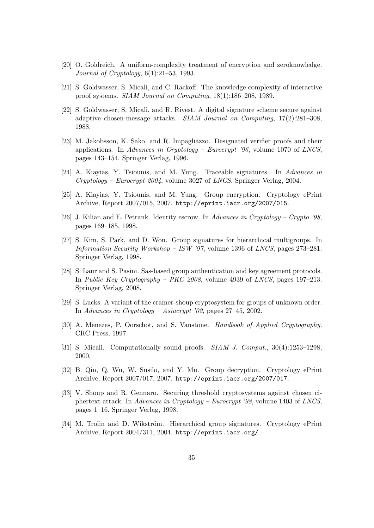- [20] O. Goldreich. A uniform-complexity treatment of encryption and zeroknowledge. Journal of Cryptology, 6(1):21–53, 1993.
- [21] S. Goldwasser, S. Micali, and C. Rackoff. The knowledge complexity of interactive proof systems. SIAM Journal on Computing, 18(1):186–208, 1989.
- [22] S. Goldwasser, S. Micali, and R. Rivest. A digital signature scheme secure against adaptive chosen-message attacks. SIAM Journal on Computing, 17(2):281–308, 1988.
- [23] M. Jakobsson, K. Sako, and R. Impagliazzo. Designated verifier proofs and their applications. In Advances in Cryptology – Eurocrypt '96, volume 1070 of LNCS, pages 143–154. Springer Verlag, 1996.
- [24] A. Kiayias, Y. Tsiounis, and M. Yung. Traceable signatures. In Advances in Cryptology – Eurocrypt 2004, volume 3027 of LNCS. Springer Verlag, 2004.
- [25] A. Kiayias, Y. Tsiounis, and M. Yung. Group encryption. Cryptology ePrint Archive, Report 2007/015, 2007. http://eprint.iacr.org/2007/015.
- [26] J. Kilian and E. Petrank. Identity escrow. In Advances in Cryptology Crypto '98, pages 169–185, 1998.
- [27] S. Kim, S. Park, and D. Won. Group signatures for hierarchical multigroups. In Information Security Workshop – ISW '97, volume 1396 of LNCS, pages 273–281. Springer Verlag, 1998.
- [28] S. Laur and S. Pasini. Sas-based group authentication and key agreement protocols. In Public Key Cryptography – PKC 2008, volume 4939 of LNCS, pages 197–213. Springer Verlag, 2008.
- [29] S. Lucks. A variant of the cramer-shoup cryptosystem for groups of unknown order. In Advances in Cryptology – Asiacrypt '02, pages 27–45, 2002.
- [30] A. Menezes, P. Oorschot, and S. Vanstone. Handbook of Applied Cryptography. CRC Press, 1997.
- [31] S. Micali. Computationally sound proofs. SIAM J. Comput., 30(4):1253–1298, 2000.
- [32] B. Qin, Q. Wu, W. Susilo, and Y. Mu. Group decryption. Cryptology ePrint Archive, Report 2007/017, 2007. http://eprint.iacr.org/2007/017.
- [33] V. Shoup and R. Gennaro. Securing threshold cryptosystems against chosen ciphertext attack. In Advances in Cryptology – Eurocrypt '98, volume 1403 of LNCS, pages 1–16. Springer Verlag, 1998.
- [34] M. Trolin and D. Wikström. Hierarchical group signatures. Cryptology ePrint Archive, Report 2004/311, 2004. http://eprint.iacr.org/.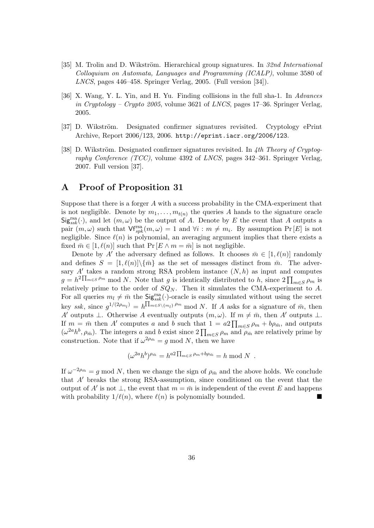- [35] M. Trolin and D. Wikström. Hierarchical group signatures. In 32nd International Colloquium on Automata, Languages and Programming (ICALP), volume 3580 of LNCS, pages 446–458. Springer Verlag, 2005. (Full version [34]).
- [36] X. Wang, Y. L. Yin, and H. Yu. Finding collisions in the full sha-1. In Advances in Cryptology – Crypto 2005, volume 3621 of LNCS, pages 17–36. Springer Verlag, 2005.
- [37] D. Wikström. Designated confirmer signatures revisited. Cryptology ePrint Archive, Report 2006/123, 2006. http://eprint.iacr.org/2006/123.
- [38] D. Wikström. Designated confirmer signatures revisited. In 4th Theory of Cryptography Conference (TCC), volume 4392 of LNCS, pages 342–361. Springer Verlag, 2007. Full version [37].

## A Proof of Proposition 31

Suppose that there is a forger  $A$  with a success probability in the CMA-experiment that is not negligible. Denote by  $m_1, \ldots, m_{t(n)}$  the queries A hands to the signature oracle  $\mathsf{Sig}^{\text{rsa}}_{ssk}(\cdot)$ , and let  $(m,\omega)$  be the output of A. Denote by E the event that A outputs a pair  $(m,\omega)$  such that  $\mathsf{Vf}^{\text{rsa}}_{spk}(m,\omega) = 1$  and  $\forall i : m \neq m_i$ . By assumption Pr [E] is not negligible. Since  $\ell(n)$  is polynomial, an averaging argument implies that there exists a fixed  $\bar{m} \in [1, \ell(n)]$  such that  $\Pr [E \wedge m = \bar{m}]$  is not negligible.

Denote by A' the adversary defined as follows. It chooses  $\bar{m} \in [1, \ell(n)]$  randomly and defines  $S = [1, \ell(n)] \setminus {\overline{m}}$  as the set of messages distinct from  $\overline{m}$ . The adversary  $A'$  takes a random strong RSA problem instance  $(N, h)$  as input and computes  $g = h^{2} \prod_{m \in S} \rho_{m}$  mod N. Note that g is identically distributed to h, since  $2 \prod_{m \in S} \rho_{m}$  is relatively prime to the order of  $SQ_N$ . Then it simulates the CMA-experiment to A. For all queries  $m_l \neq \bar{m}$  the  $\text{Sig}_{ssk}^{\text{rsa}}(\cdot)$ -oracle is easily simulated without using the secret key ssk, since  $g^{1/(2\rho_{m_l})} = h^{\prod_{m \in S \setminus \{m_l\}} \rho_m} \mod N$ . If A asks for a signature of  $\bar{m}$ , then A' outputs  $\perp$ . Otherwise A eventually outputs  $(m, \omega)$ . If  $m \neq \overline{m}$ , then A' outputs  $\perp$ . If  $m = \bar{m}$  then A' computes a and b such that  $1 = a_2 \prod_{m \in S} \rho_m + b \rho_{\bar{m}}$ , and outputs  $(\omega^{2a}h^b, \rho_{\bar{m}})$ . The integers a and b exist since  $2\prod_{m\in S}\rho_m$  and  $\rho_{\bar{m}}$  are relatively prime by construction. Note that if  $\omega^{2\rho_{\bar{m}}}=g \mod N$ , then we have

$$
(\omega^{2a}h^b)^{\rho_{\bar{m}}} = h^{a2}\Pi_{m\in S}\,\rho_m + b\rho_{\bar{m}} = h \bmod N.
$$

If  $\omega^{-2\rho_{\bar{m}}}=g \mod N$ , then we change the sign of  $\rho_{\bar{m}}$  and the above holds. We conclude that  $A'$  breaks the strong RSA-assumption, since conditioned on the event that the output of A' is not  $\perp$ , the event that  $m = \bar{m}$  is independent of the event E and happens with probability  $1/\ell(n)$ , where  $\ell(n)$  is polynomially bounded.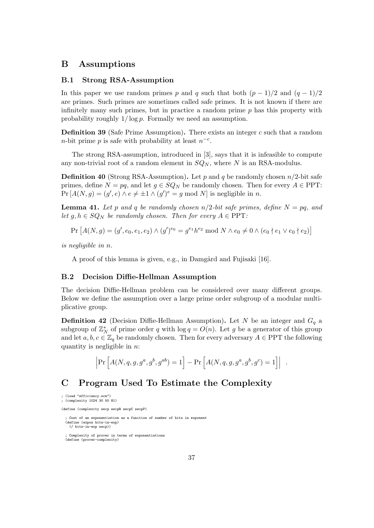## B Assumptions

## B.1 Strong RSA-Assumption

In this paper we use random primes p and q such that both  $(p-1)/2$  and  $(q-1)/2$ are primes. Such primes are sometimes called safe primes. It is not known if there are infinitely many such primes, but in practice a random prime  $p$  has this property with probability roughly  $1/\log p$ . Formally we need an assumption.

**Definition 39** (Safe Prime Assumption). There exists an integer c such that a random *n*-bit prime *p* is safe with probability at least  $n^{-c}$ .

The strong RSA-assumption, introduced in [3], says that it is infeasible to compute any non-trivial root of a random element in  $SQ_N$ , where N is an RSA-modulus.

**Definition 40** (Strong RSA-Assumption). Let p and q be randomly chosen  $n/2$ -bit safe primes, define  $N = pq$ , and let  $g \in SQ_N$  be randomly chosen. Then for every  $A \in \text{PPT}$ :  $Pr[A(N,g) = (g', e) \wedge e \neq \pm 1 \wedge (g')^e = g \bmod N]$  is negligible in n.

**Lemma 41.** Let p and q be randomly chosen  $n/2$ -bit safe primes, define  $N = pq$ , and let  $g, h \in SQ_N$  be randomly chosen. Then for every  $A \in \text{PPT}$ :

$$
\Pr\left[A(N,g) = (g', e_0, e_1, e_2) \wedge (g')^{e_0} = g^{e_1} h^{e_2} \mod N \wedge e_0 \neq 0 \wedge (e_0 \nmid e_1 \vee e_0 \nmid e_2)\right]
$$

is negligible in n.

A proof of this lemma is given, e.g., in Damgård and Fujisaki [16].

#### B.2 Decision Diffie-Hellman Assumption

The decision Diffie-Hellman problem can be considered over many different groups. Below we define the assumption over a large prime order subgroup of a modular multiplicative group.

**Definition 42** (Decision Diffie-Hellman Assumption). Let N be an integer and  $G_q$  a subgroup of  $\mathbb{Z}_N^*$  of prime order q with  $\log q = O(n)$ . Let g be a generator of this group and let  $a, b, c \in \mathbb{Z}_q$  be randomly chosen. Then for every adversary  $A \in \text{PPT}$  the following quantity is negligible in  $n$ :

$$
\left| \Pr \left[ A(N,q,g,g^a,g^b,g^{ab}) = 1 \right] - \Pr \left[ A(N,q,g,g^a,g^b,g^c) = 1 \right] \right| .
$$

# C Program Used To Estimate the Complexity

```
; (load "efficiency.scm")
; (complexity 1024 30 50 81)
```
(define (complexity secp secpR secpC secpP)

<sup>;</sup> Cost of an exponentiation as a function of number of bits in exponent (define (expos bits-in-exp) (/ bits-in-exp secp))

<sup>;</sup> Complexity of prover in terms of exponentiations (define (prover-complexity)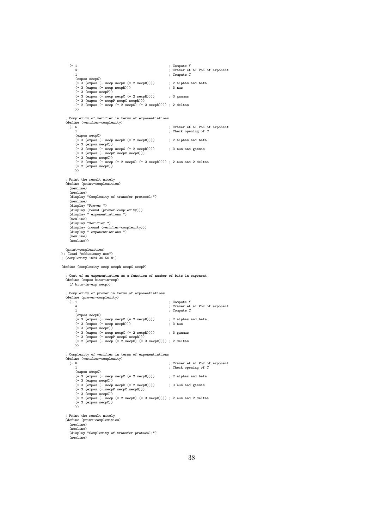$(+ 1$ <br>  $(4)$ <br>  $(2)$ <br>  $(-1)$ <br>  $(-1)$ <br>  $(-1)$ <br>  $(-1)$ <br>  $(-1)$ <br>  $(-1)$ <br>  $(-1)$ <br>  $(-1)$ <br>  $(-1)$ <br>  $(-1)$ <br>  $(-1)$ <br>  $(-1)$ <br>  $(-1)$ 4 ; Cramer et al PoK of exponent 1 ; Compute C (expos secpC)  $(\ast\ 3\ (\text{expos } (+\ \text{see preC }(4\ 2\ \text{see} \text{p}))))\qquad;\ 2\ \text{alphas and beta}\\ (\ast\ 3\ (\text{expos } (+\ \text{see preph})))\qquad;\ 3\ \text{nus}\\ (\ast\ 3\ (\text{expos } (+\ \text{see prep}))\qquad;\ 3\ \text{gamma}\\ (\ast\ 3\ (\text{expos } (+\ \text{see preC }(4\ 2\ \text{seeph}))))\qquad;\ 3\ \text{gamma}\\ (\ast\ 3\ (\text{expos } (+\ \text{see preC }\text{seeph})))\qquad;\ 2\ \text{delta}\\ (\ast\ 2\ (\text{expos } (+\ \text$ ; Complexity of verifier in terms of exponentiations (define (verifier-complexity) ; Cramer et al PoK of exponent 1 ; Check opening of C (expos secpC) (\* 3 (expos (+ secp secpC (\* 2 secpR)))) ; 2 alphas and beta (\* 3 (expos secpC)) (\* 3 (expos (+ secp secpC (\* 2 secpR)))) ; 3 nus and gammas (\* 3 (expos (+ secpP secpC secpR))) (\* 3 (expos secpC))<br>(\* 2 (expos (+ secp (\* 2 secpC) (\* 3 secpR)))) ; 2 nus and 2 deltas<br>(\* 2 (expos secpC)) )) ; Print the result nicely (define (print-complexities) (newline) (newline) (display "Complexity of transfer protocol:") (newline) (display "Prover ") (display (round (prover-complexity))) (display " exponentiations.") (newline) (display "Verifier ") (display (round (verifier-complexity))) (display " exponentiations.") (newline)  $(n_{\text{out}})$ ) (print-complexities) ); (load "efficiency.scm") ; (complexity 1024 30 50 81) (define (complexity secp secpR secpC secpP) ; Cost of an exponentiation as a function of number of bits in exponent (define (expos bits-in-exp) (/ bits-in-exp secp)) ; Complexity of prover in terms of exponentiations (define (prover-complexity) (+ 1 ; Compute Y 4 ; Cramer et al PoK of exponent 1 compute C (expos secpC) (\* 3 (expos (+ secp secpC (\* 2 secpR)))) ; 2 alphas and beta (\* 3 (expos (+ secp secpR))) ; 3 nus (\* 3 (expos secpP)) (\* 3 (expos (+ secp secpC (\* 2 secpR)))) ; 3 gammas (\* 3 (expos (+ secpP secpC secpR))) (\* 2 (expos (+ secp (\* 2 secpC) (\* 3 secpR)))) ; 2 deltas )) ; Complexity of verifier in terms of exponentiations (define (verifier-complexity)  $(+ 6$ <br> $(+ 6$ <br> $+ 6$ <br> $+ 6$ <br> $+ 6$ <br> $+ 6$ <br> $+ 6$ <br> $+ 6$ <br> $+ 6$ ; Check opening of C (expos secpC) (\* 3 (expos (+ secp secpC (\* 2 secpR)))) ; 2 alphas and beta (\* 3 (expos secpC)) (\* 3 (expos (+ secp secpC (\* 2 secpR)))) ; 3 nus and gammas (\* 3 (expos (+ secpP secpC secpR))) (\* 3 (expos secpC)) (\* 2 (expos (+ secp (\* 2 secpC) (\* 3 secpR)))) ; 2 nus and 2 deltas (\* 2 (expos secpC)) )) ; Print the result nicely (define (print-complexities) (newline) (newline) (display "Complexity of transfer protocol:") (newline)